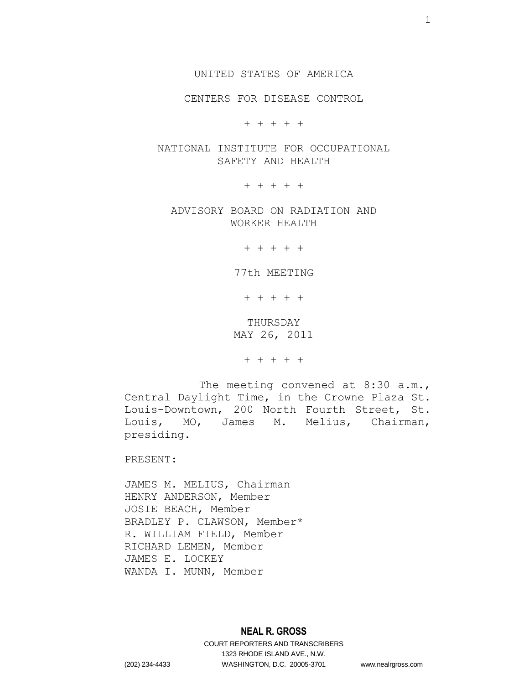UNITED STATES OF AMERICA

CENTERS FOR DISEASE CONTROL

+ + + + +

NATIONAL INSTITUTE FOR OCCUPATIONAL SAFETY AND HEALTH

+ + + + +

ADVISORY BOARD ON RADIATION AND WORKER HEALTH

+ + + + +

77th MEETING

+ + + + +

THURSDAY MAY 26, 2011

+ + + + +

The meeting convened at 8:30 a.m., Central Daylight Time, in the Crowne Plaza St. Louis-Downtown, 200 North Fourth Street, St. Louis, MO, James M. Melius, Chairman, presiding.

PRESENT:

JAMES M. MELIUS, Chairman HENRY ANDERSON, Member JOSIE BEACH, Member BRADLEY P. CLAWSON, Member\* R. WILLIAM FIELD, Member RICHARD LEMEN, Member JAMES E. LOCKEY WANDA I. MUNN, Member

## **NEAL R. GROSS**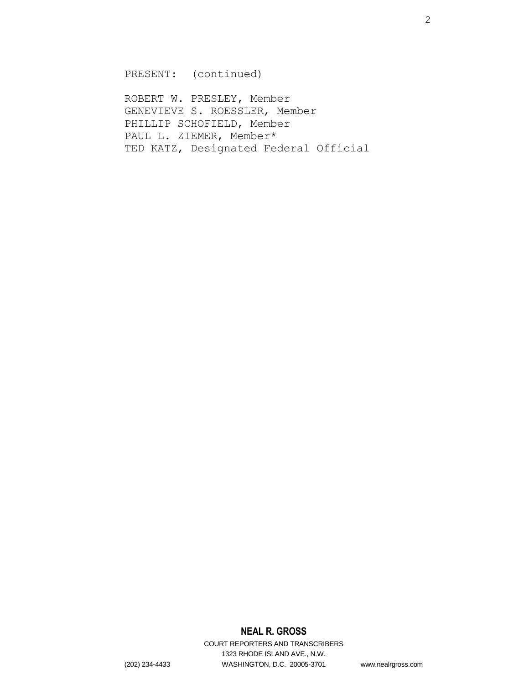PRESENT: (continued)

ROBERT W. PRESLEY, Member GENEVIEVE S. ROESSLER, Member PHILLIP SCHOFIELD, Member PAUL L. ZIEMER, Member\* TED KATZ, Designated Federal Official

# **NEAL R. GROSS**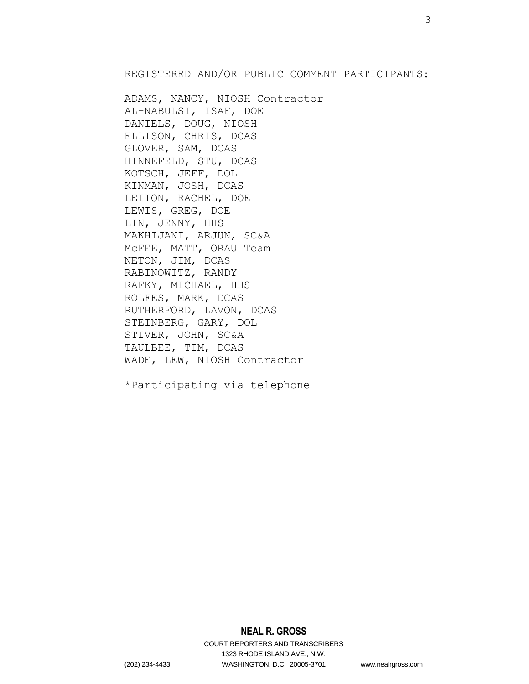REGISTERED AND/OR PUBLIC COMMENT PARTICIPANTS:

ADAMS, NANCY, NIOSH Contractor AL-NABULSI, ISAF, DOE DANIELS, DOUG, NIOSH ELLISON, CHRIS, DCAS GLOVER, SAM, DCAS HINNEFELD, STU, DCAS KOTSCH, JEFF, DOL KINMAN, JOSH, DCAS LEITON, RACHEL, DOE LEWIS, GREG, DOE LIN, JENNY, HHS MAKHIJANI, ARJUN, SC&A McFEE, MATT, ORAU Team NETON, JIM, DCAS RABINOWITZ, RANDY RAFKY, MICHAEL, HHS ROLFES, MARK, DCAS RUTHERFORD, LAVON, DCAS STEINBERG, GARY, DOL STIVER, JOHN, SC&A TAULBEE, TIM, DCAS WADE, LEW, NIOSH Contractor

\*Participating via telephone

# **NEAL R. GROSS**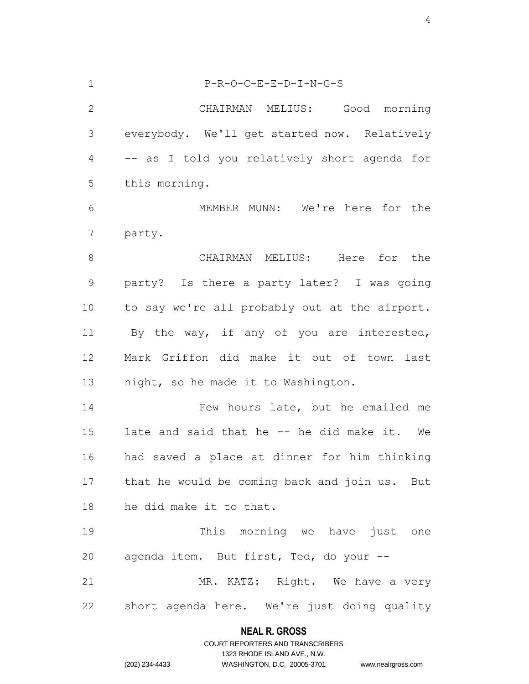| $\mathbf 1$    | $P-R-O-C-E-E-D-I-N-G-S$                       |
|----------------|-----------------------------------------------|
| $\mathbf{2}$   | CHAIRMAN MELIUS: Good<br>morning              |
| 3              | everybody. We'll get started now. Relatively  |
| $\overline{4}$ | -- as I told you relatively short agenda for  |
| 5              | this morning.                                 |
| 6              | MEMBER MUNN: We're here for the               |
| 7              | party.                                        |
| $8\,$          | CHAIRMAN MELIUS: Here for the                 |
| $\mathsf 9$    | party? Is there a party later? I was going    |
| 10             | to say we're all probably out at the airport. |
| 11             | By the way, if any of you are interested,     |
| 12             | Mark Griffon did make it out of town<br>last  |
| 13             | night, so he made it to Washington.           |
| 14             | Few hours late, but he emailed me             |
| 15             | late and said that he -- he did make it. We   |
| 16             | had saved a place at dinner for him thinking  |
| 17             | that he would be coming back and join us. But |
| 18             | he did make it to that.                       |
| 19             | This morning we have just one                 |
| 20             | agenda item. But first, Ted, do your --       |
| 21             | MR. KATZ: Right. We have a very               |
| 22             | short agenda here. We're just doing quality   |

# **NEAL R. GROSS** COURT REPORTERS AND TRANSCRIBERS

1323 RHODE ISLAND AVE., N.W.

(202) 234-4433 WASHINGTON, D.C. 20005-3701 www.nealrgross.com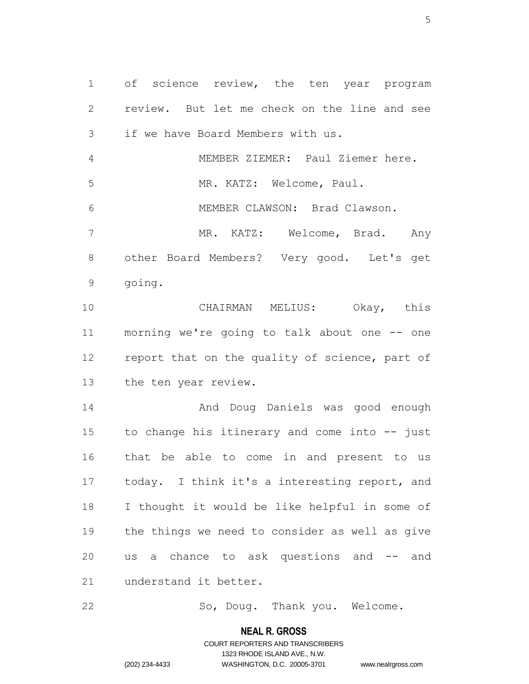1 of science review, the ten year program review. But let me check on the line and see if we have Board Members with us. MEMBER ZIEMER: Paul Ziemer here. MR. KATZ: Welcome, Paul. MEMBER CLAWSON: Brad Clawson.

 MR. KATZ: Welcome, Brad. Any other Board Members? Very good. Let's get going.

 CHAIRMAN MELIUS: Okay, this morning we're going to talk about one -- one 12 report that on the quality of science, part of the ten year review.

 And Doug Daniels was good enough to change his itinerary and come into -- just that be able to come in and present to us today. I think it's a interesting report, and I thought it would be like helpful in some of the things we need to consider as well as give us a chance to ask questions and -- and understand it better.

22 So, Doug. Thank you. Welcome.

#### **NEAL R. GROSS**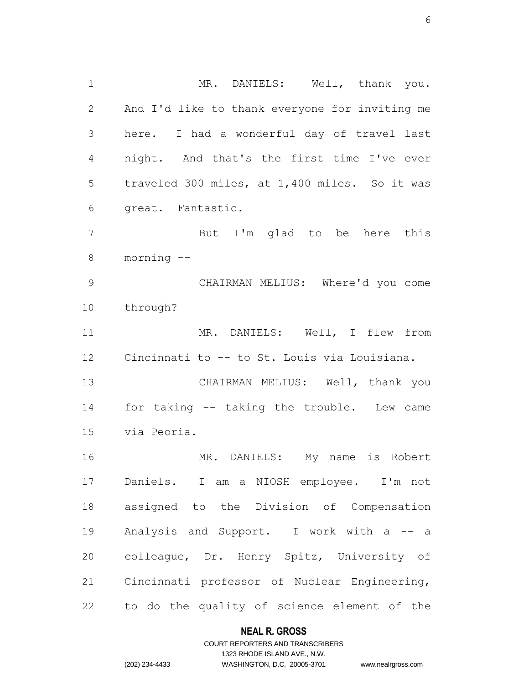1 MR. DANIELS: Well, thank you. And I'd like to thank everyone for inviting me here. I had a wonderful day of travel last night. And that's the first time I've ever traveled 300 miles, at 1,400 miles. So it was great. Fantastic. But I'm glad to be here this morning -- CHAIRMAN MELIUS: Where'd you come through? MR. DANIELS: Well, I flew from Cincinnati to -- to St. Louis via Louisiana. CHAIRMAN MELIUS: Well, thank you for taking -- taking the trouble. Lew came via Peoria. MR. DANIELS: My name is Robert Daniels. I am a NIOSH employee. I'm not assigned to the Division of Compensation

19 Analysis and Support. I work with a -- a colleague, Dr. Henry Spitz, University of Cincinnati professor of Nuclear Engineering, to do the quality of science element of the

#### **NEAL R. GROSS**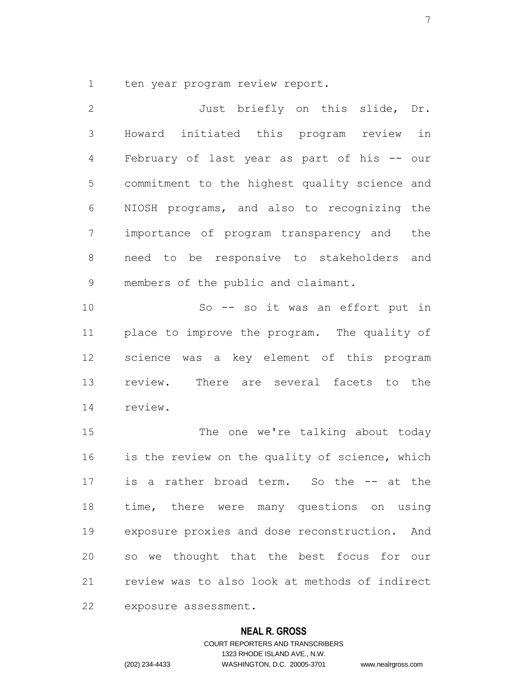ten year program review report.

 Just briefly on this slide, Dr. Howard initiated this program review in February of last year as part of his -- our commitment to the highest quality science and NIOSH programs, and also to recognizing the importance of program transparency and the need to be responsive to stakeholders and members of the public and claimant. So -- so it was an effort put in place to improve the program. The quality of science was a key element of this program

 review. There are several facets to the review.

15 The one we're talking about today is the review on the quality of science, which is a rather broad term. So the -- at the time, there were many questions on using exposure proxies and dose reconstruction. And so we thought that the best focus for our review was to also look at methods of indirect exposure assessment.

#### **NEAL R. GROSS**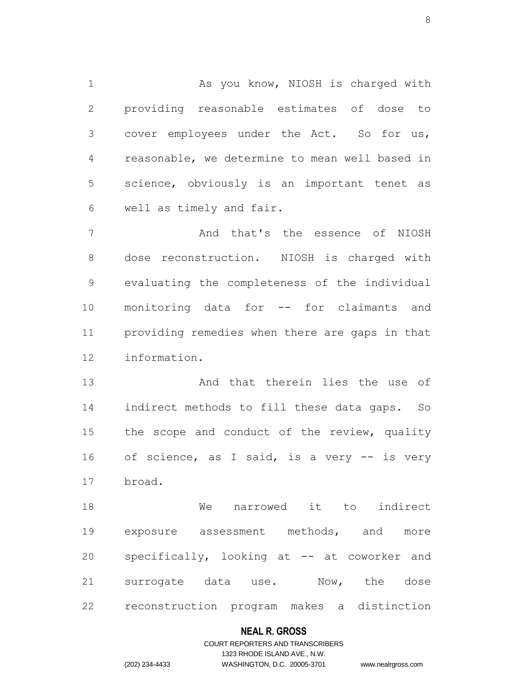1 As you know, NIOSH is charged with providing reasonable estimates of dose to cover employees under the Act. So for us, reasonable, we determine to mean well based in science, obviously is an important tenet as well as timely and fair.

 And that's the essence of NIOSH dose reconstruction. NIOSH is charged with evaluating the completeness of the individual monitoring data for -- for claimants and providing remedies when there are gaps in that information.

 And that therein lies the use of indirect methods to fill these data gaps. So 15 the scope and conduct of the review, quality 16 of science, as I said, is a very -- is very broad.

 We narrowed it to indirect exposure assessment methods, and more specifically, looking at -- at coworker and surrogate data use. Now, the dose reconstruction program makes a distinction

## **NEAL R. GROSS**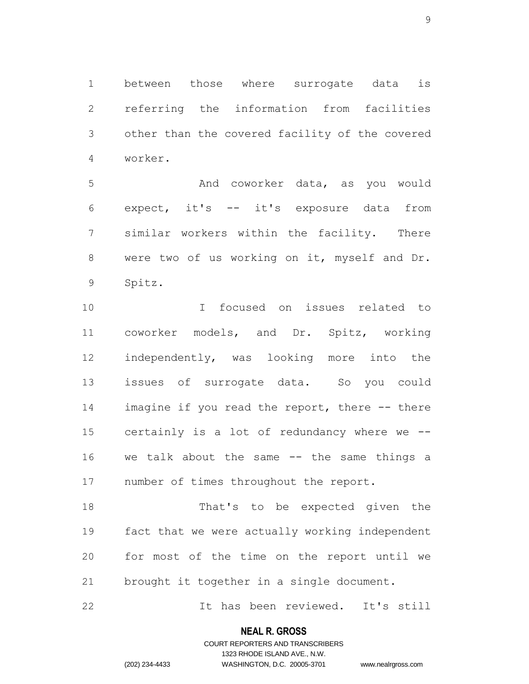between those where surrogate data is referring the information from facilities other than the covered facility of the covered worker.

 And coworker data, as you would expect, it's -- it's exposure data from similar workers within the facility. There 8 were two of us working on it, myself and Dr. Spitz.

 I focused on issues related to coworker models, and Dr. Spitz, working independently, was looking more into the issues of surrogate data. So you could 14 imagine if you read the report, there -- there certainly is a lot of redundancy where we -- we talk about the same -- the same things a number of times throughout the report.

 That's to be expected given the fact that we were actually working independent for most of the time on the report until we brought it together in a single document.

It has been reviewed. It's still

### **NEAL R. GROSS**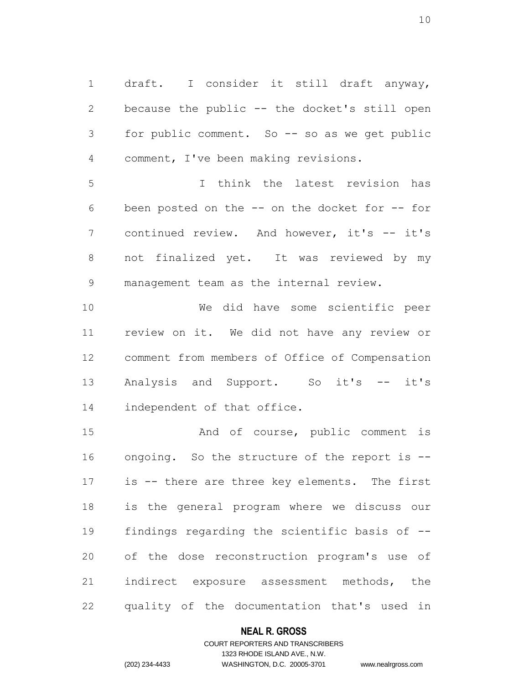draft. I consider it still draft anyway, because the public -- the docket's still open for public comment. So -- so as we get public comment, I've been making revisions.

 I think the latest revision has been posted on the -- on the docket for -- for 7 continued review. And however, it's -- it's not finalized yet. It was reviewed by my management team as the internal review.

 We did have some scientific peer review on it. We did not have any review or comment from members of Office of Compensation 13 Analysis and Support. So it's -- it's independent of that office.

15 And of course, public comment is ongoing. So the structure of the report is -- is -- there are three key elements. The first is the general program where we discuss our findings regarding the scientific basis of -- of the dose reconstruction program's use of indirect exposure assessment methods, the quality of the documentation that's used in

#### **NEAL R. GROSS**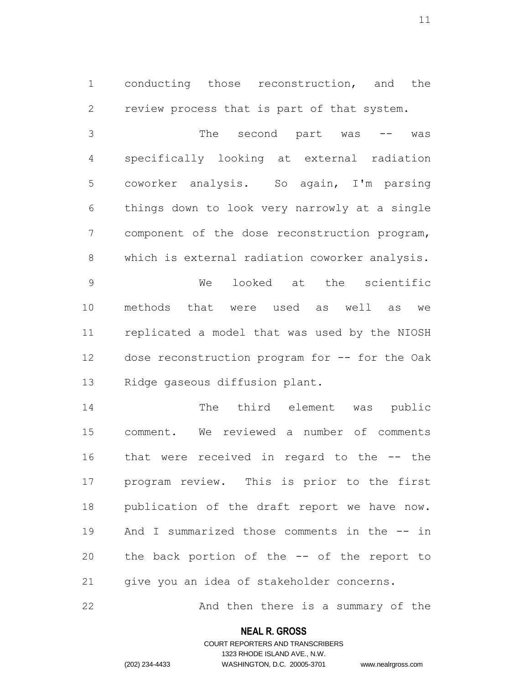conducting those reconstruction, and the review process that is part of that system.

 The second part was -- was specifically looking at external radiation coworker analysis. So again, I'm parsing things down to look very narrowly at a single component of the dose reconstruction program, which is external radiation coworker analysis. We looked at the scientific methods that were used as well as we replicated a model that was used by the NIOSH dose reconstruction program for -- for the Oak Ridge gaseous diffusion plant.

 The third element was public comment. We reviewed a number of comments that were received in regard to the -- the program review. This is prior to the first publication of the draft report we have now. And I summarized those comments in the -- in the back portion of the -- of the report to give you an idea of stakeholder concerns.

22 And then there is a summary of the

### **NEAL R. GROSS**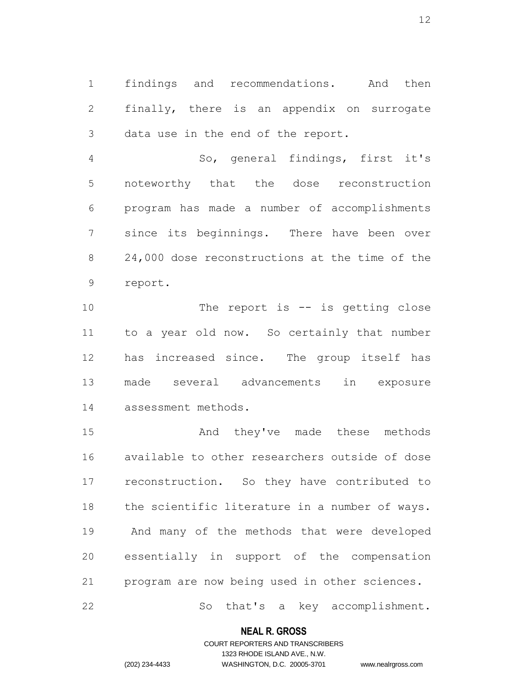findings and recommendations. And then finally, there is an appendix on surrogate data use in the end of the report.

 So, general findings, first it's noteworthy that the dose reconstruction program has made a number of accomplishments since its beginnings. There have been over 24,000 dose reconstructions at the time of the report.

10 The report is -- is getting close to a year old now. So certainly that number has increased since. The group itself has made several advancements in exposure assessment methods.

 And they've made these methods available to other researchers outside of dose reconstruction. So they have contributed to the scientific literature in a number of ways. And many of the methods that were developed essentially in support of the compensation program are now being used in other sciences.

So that's a key accomplishment.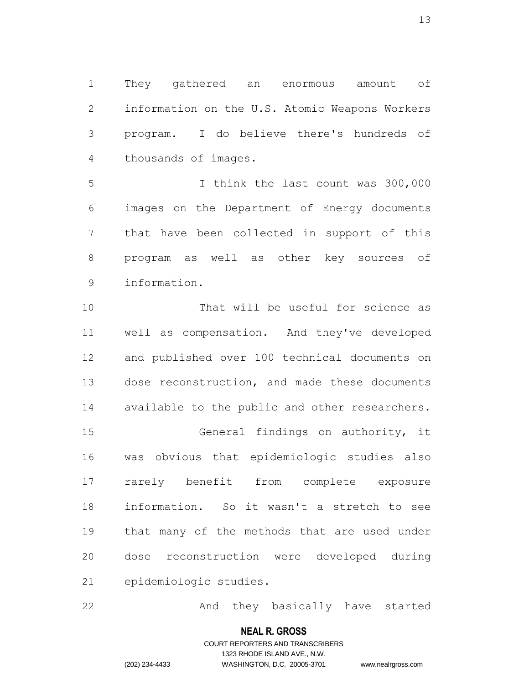They gathered an enormous amount of information on the U.S. Atomic Weapons Workers program. I do believe there's hundreds of thousands of images.

 I think the last count was 300,000 images on the Department of Energy documents that have been collected in support of this program as well as other key sources of information.

 That will be useful for science as well as compensation. And they've developed and published over 100 technical documents on dose reconstruction, and made these documents available to the public and other researchers. General findings on authority, it was obvious that epidemiologic studies also rarely benefit from complete exposure information. So it wasn't a stretch to see that many of the methods that are used under dose reconstruction were developed during epidemiologic studies.

22 And they basically have started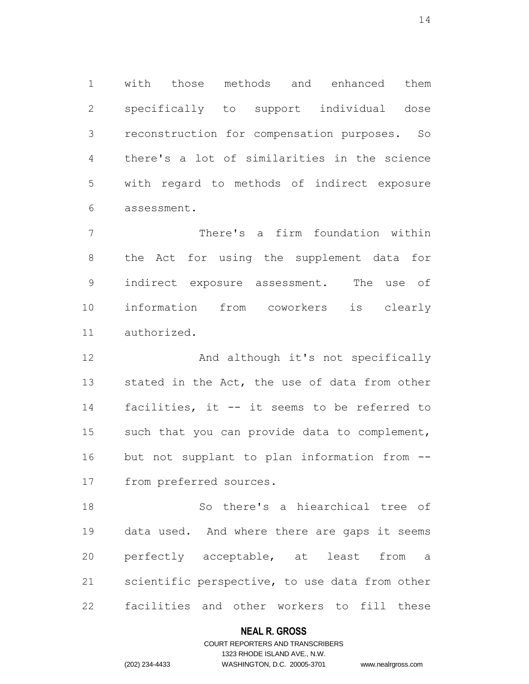with those methods and enhanced them specifically to support individual dose reconstruction for compensation purposes. So there's a lot of similarities in the science with regard to methods of indirect exposure assessment.

 There's a firm foundation within the Act for using the supplement data for indirect exposure assessment. The use of information from coworkers is clearly authorized.

12 And although it's not specifically 13 stated in the Act, the use of data from other facilities, it -- it seems to be referred to such that you can provide data to complement, but not supplant to plan information from -- from preferred sources.

 So there's a hiearchical tree of data used. And where there are gaps it seems perfectly acceptable, at least from a scientific perspective, to use data from other facilities and other workers to fill these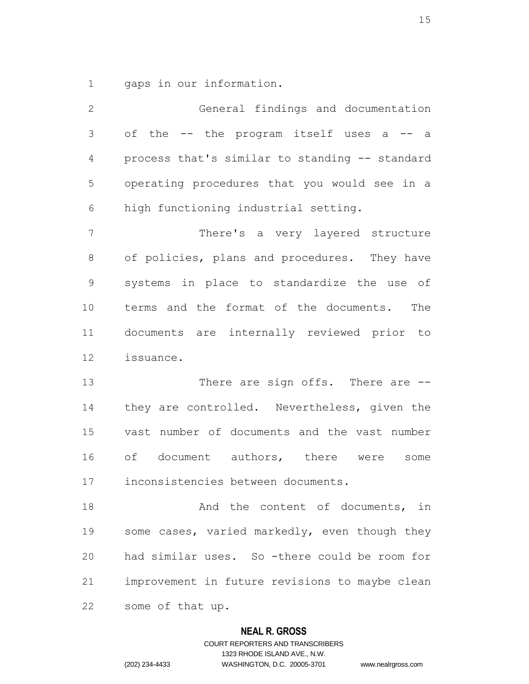gaps in our information.

 General findings and documentation 3 of the -- the program itself uses a -- a process that's similar to standing -- standard operating procedures that you would see in a high functioning industrial setting. There's a very layered structure of policies, plans and procedures. They have systems in place to standardize the use of terms and the format of the documents. The documents are internally reviewed prior to issuance. 13 There are sign offs. There are  $-$  they are controlled. Nevertheless, given the vast number of documents and the vast number of document authors, there were some inconsistencies between documents. 18 And the content of documents, in some cases, varied markedly, even though they had similar uses. So -there could be room for improvement in future revisions to maybe clean some of that up.

#### **NEAL R. GROSS**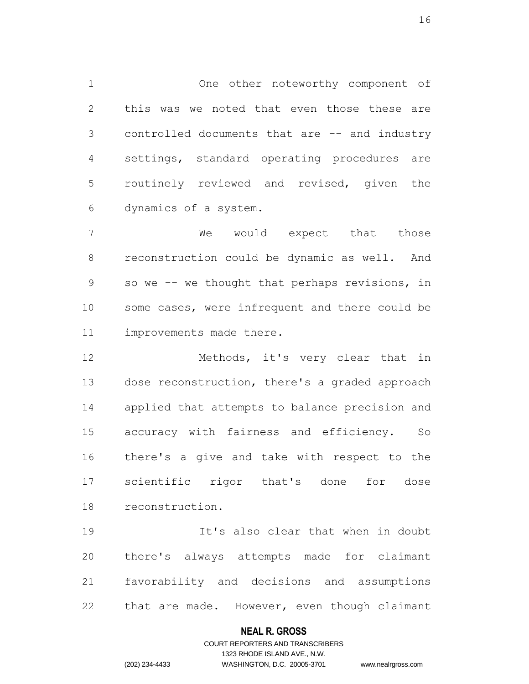One other noteworthy component of this was we noted that even those these are controlled documents that are -- and industry settings, standard operating procedures are routinely reviewed and revised, given the dynamics of a system.

 We would expect that those reconstruction could be dynamic as well. And so we -- we thought that perhaps revisions, in some cases, were infrequent and there could be improvements made there.

12 Methods, it's very clear that in dose reconstruction, there's a graded approach applied that attempts to balance precision and accuracy with fairness and efficiency. So there's a give and take with respect to the scientific rigor that's done for dose reconstruction.

 It's also clear that when in doubt there's always attempts made for claimant favorability and decisions and assumptions that are made. However, even though claimant

#### **NEAL R. GROSS**

### COURT REPORTERS AND TRANSCRIBERS 1323 RHODE ISLAND AVE., N.W. (202) 234-4433 WASHINGTON, D.C. 20005-3701 www.nealrgross.com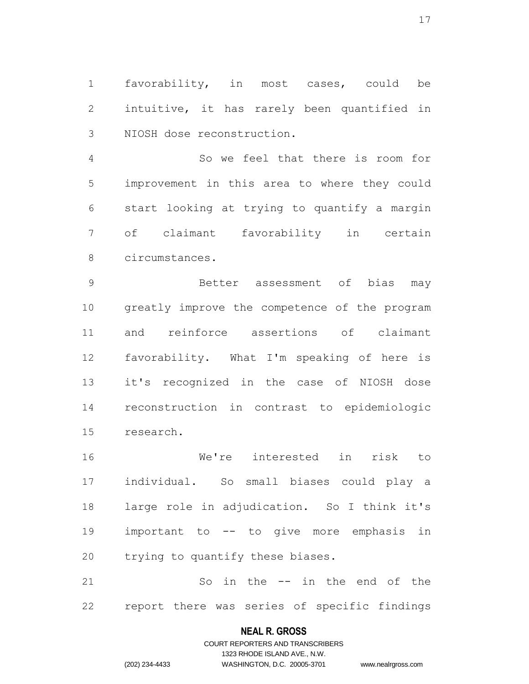favorability, in most cases, could be intuitive, it has rarely been quantified in NIOSH dose reconstruction.

 So we feel that there is room for improvement in this area to where they could start looking at trying to quantify a margin of claimant favorability in certain circumstances.

 Better assessment of bias may greatly improve the competence of the program and reinforce assertions of claimant favorability. What I'm speaking of here is it's recognized in the case of NIOSH dose reconstruction in contrast to epidemiologic research.

 We're interested in risk to individual. So small biases could play a large role in adjudication. So I think it's important to -- to give more emphasis in trying to quantify these biases.

 So in the -- in the end of the report there was series of specific findings

#### **NEAL R. GROSS**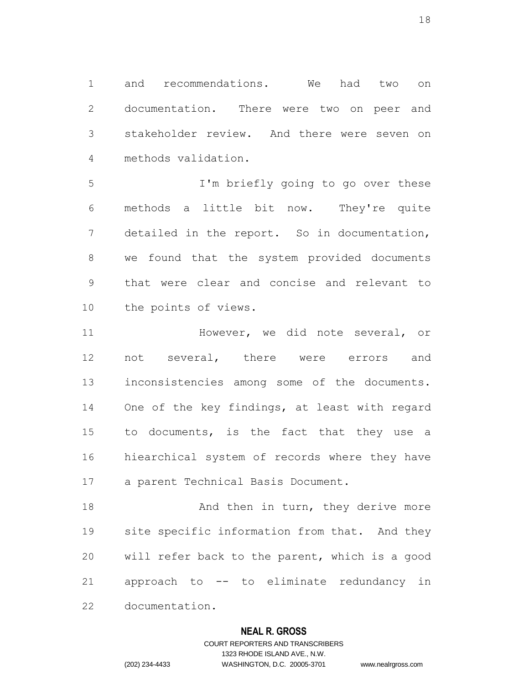and recommendations. We had two on documentation. There were two on peer and stakeholder review. And there were seven on methods validation.

 I'm briefly going to go over these methods a little bit now. They're quite detailed in the report. So in documentation, we found that the system provided documents that were clear and concise and relevant to the points of views.

 However, we did note several, or not several, there were errors and inconsistencies among some of the documents. One of the key findings, at least with regard to documents, is the fact that they use a hiearchical system of records where they have a parent Technical Basis Document.

18 And then in turn, they derive more site specific information from that. And they will refer back to the parent, which is a good approach to -- to eliminate redundancy in documentation.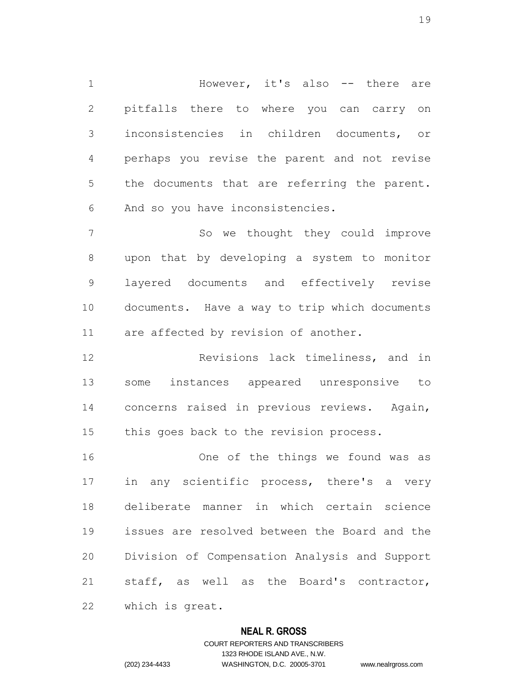However, it's also -- there are pitfalls there to where you can carry on inconsistencies in children documents, or perhaps you revise the parent and not revise the documents that are referring the parent. And so you have inconsistencies.

 So we thought they could improve upon that by developing a system to monitor layered documents and effectively revise documents. Have a way to trip which documents are affected by revision of another.

 Revisions lack timeliness, and in some instances appeared unresponsive to concerns raised in previous reviews. Again, this goes back to the revision process.

 One of the things we found was as in any scientific process, there's a very deliberate manner in which certain science issues are resolved between the Board and the Division of Compensation Analysis and Support staff, as well as the Board's contractor, which is great.

#### **NEAL R. GROSS**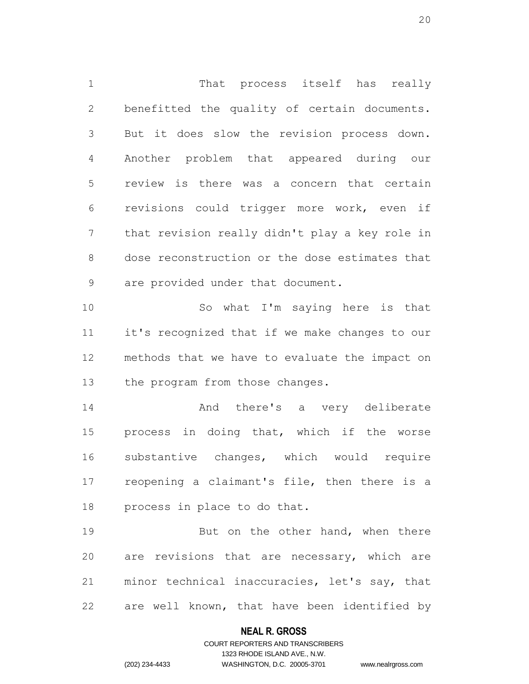That process itself has really benefitted the quality of certain documents. But it does slow the revision process down. Another problem that appeared during our review is there was a concern that certain revisions could trigger more work, even if that revision really didn't play a key role in dose reconstruction or the dose estimates that are provided under that document. So what I'm saying here is that it's recognized that if we make changes to our methods that we have to evaluate the impact on the program from those changes. And there's a very deliberate process in doing that, which if the worse

 reopening a claimant's file, then there is a process in place to do that.

substantive changes, which would require

19 But on the other hand, when there are revisions that are necessary, which are minor technical inaccuracies, let's say, that are well known, that have been identified by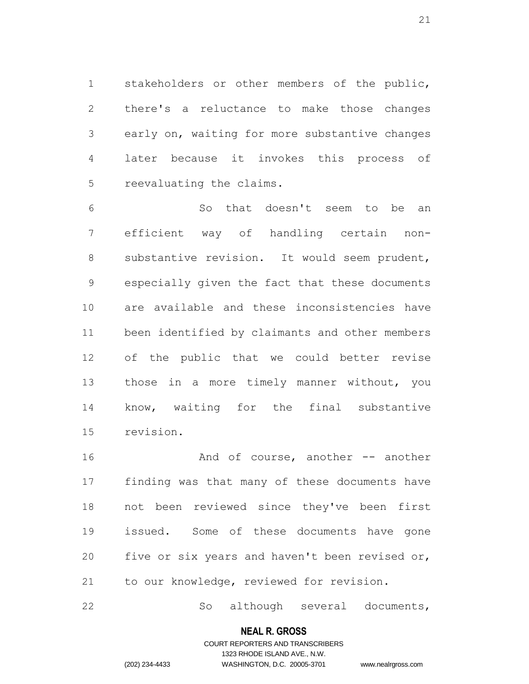stakeholders or other members of the public, there's a reluctance to make those changes early on, waiting for more substantive changes later because it invokes this process of reevaluating the claims.

 So that doesn't seem to be an efficient way of handling certain non- substantive revision. It would seem prudent, especially given the fact that these documents are available and these inconsistencies have been identified by claimants and other members of the public that we could better revise those in a more timely manner without, you know, waiting for the final substantive revision.

16 And of course, another -- another finding was that many of these documents have not been reviewed since they've been first issued. Some of these documents have gone five or six years and haven't been revised or, to our knowledge, reviewed for revision.

So although several documents,

#### **NEAL R. GROSS**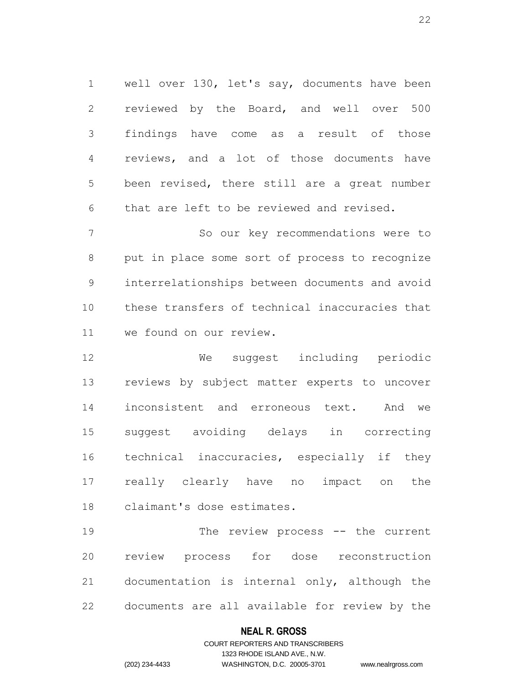well over 130, let's say, documents have been reviewed by the Board, and well over 500 findings have come as a result of those reviews, and a lot of those documents have been revised, there still are a great number that are left to be reviewed and revised.

 So our key recommendations were to put in place some sort of process to recognize interrelationships between documents and avoid these transfers of technical inaccuracies that we found on our review.

 We suggest including periodic reviews by subject matter experts to uncover inconsistent and erroneous text. And we suggest avoiding delays in correcting technical inaccuracies, especially if they really clearly have no impact on the claimant's dose estimates.

19 The review process -- the current review process for dose reconstruction documentation is internal only, although the documents are all available for review by the

### **NEAL R. GROSS**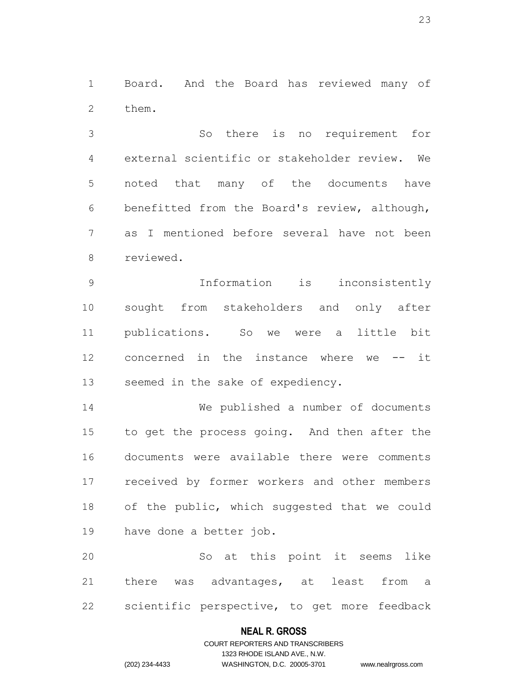Board. And the Board has reviewed many of them.

 So there is no requirement for external scientific or stakeholder review. We noted that many of the documents have benefitted from the Board's review, although, as I mentioned before several have not been reviewed.

 Information is inconsistently sought from stakeholders and only after publications. So we were a little bit concerned in the instance where we -- it seemed in the sake of expediency.

 We published a number of documents to get the process going. And then after the documents were available there were comments received by former workers and other members of the public, which suggested that we could have done a better job.

 So at this point it seems like there was advantages, at least from a scientific perspective, to get more feedback

#### **NEAL R. GROSS**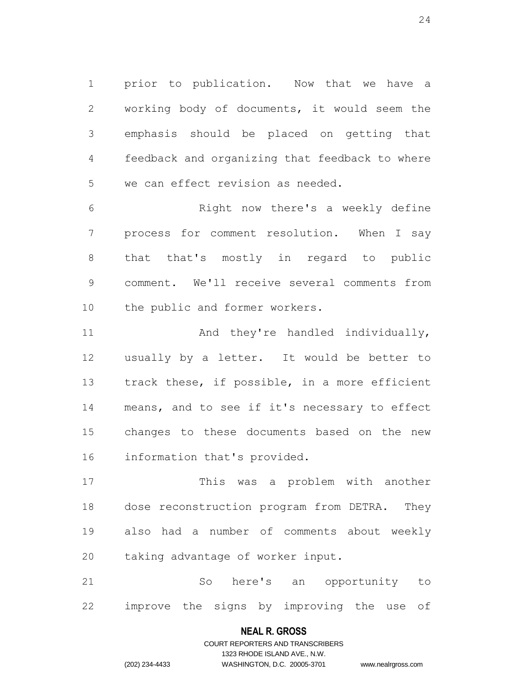prior to publication. Now that we have a working body of documents, it would seem the emphasis should be placed on getting that feedback and organizing that feedback to where we can effect revision as needed.

 Right now there's a weekly define process for comment resolution. When I say that that's mostly in regard to public comment. We'll receive several comments from the public and former workers.

11 And they're handled individually, usually by a letter. It would be better to track these, if possible, in a more efficient means, and to see if it's necessary to effect changes to these documents based on the new information that's provided.

 This was a problem with another dose reconstruction program from DETRA. They also had a number of comments about weekly taking advantage of worker input.

 So here's an opportunity to improve the signs by improving the use of

## **NEAL R. GROSS** COURT REPORTERS AND TRANSCRIBERS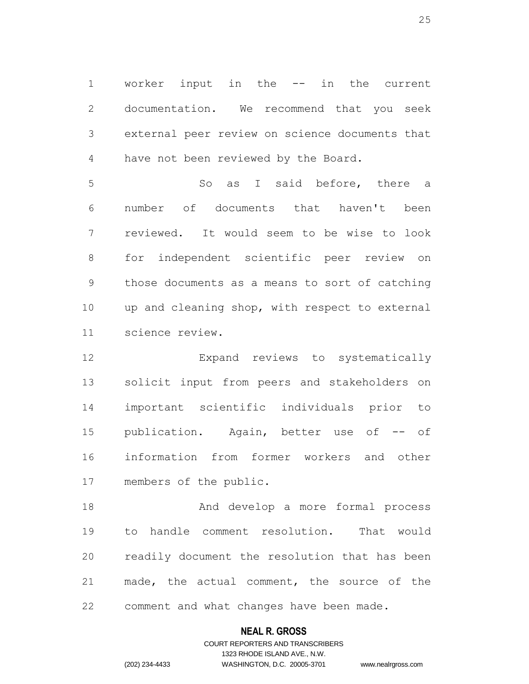worker input in the -- in the current documentation. We recommend that you seek external peer review on science documents that have not been reviewed by the Board.

5 So as I said before, there a number of documents that haven't been reviewed. It would seem to be wise to look for independent scientific peer review on those documents as a means to sort of catching up and cleaning shop, with respect to external science review.

 Expand reviews to systematically solicit input from peers and stakeholders on important scientific individuals prior to 15 publication. Again, better use of -- of information from former workers and other members of the public.

 And develop a more formal process to handle comment resolution. That would readily document the resolution that has been made, the actual comment, the source of the comment and what changes have been made.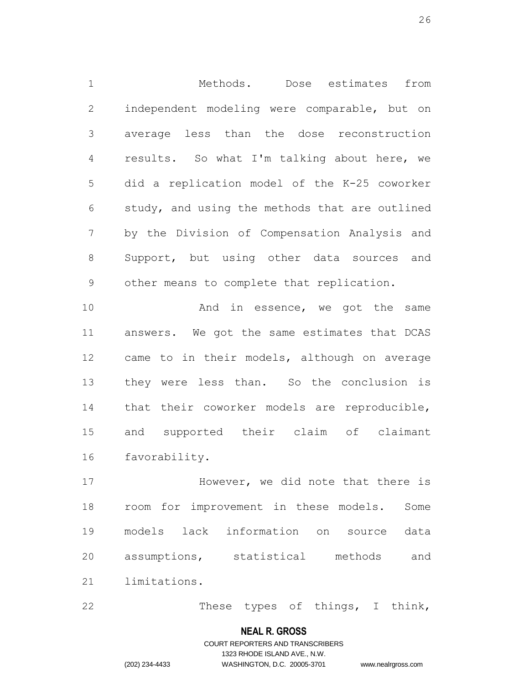Methods. Dose estimates from independent modeling were comparable, but on average less than the dose reconstruction results. So what I'm talking about here, we did a replication model of the K-25 coworker study, and using the methods that are outlined by the Division of Compensation Analysis and Support, but using other data sources and other means to complete that replication.

10 And in essence, we got the same answers. We got the same estimates that DCAS came to in their models, although on average they were less than. So the conclusion is that their coworker models are reproducible, and supported their claim of claimant favorability.

**However, we did note that there is**  room for improvement in these models. Some models lack information on source data assumptions, statistical methods and limitations.

22 These types of things, I think,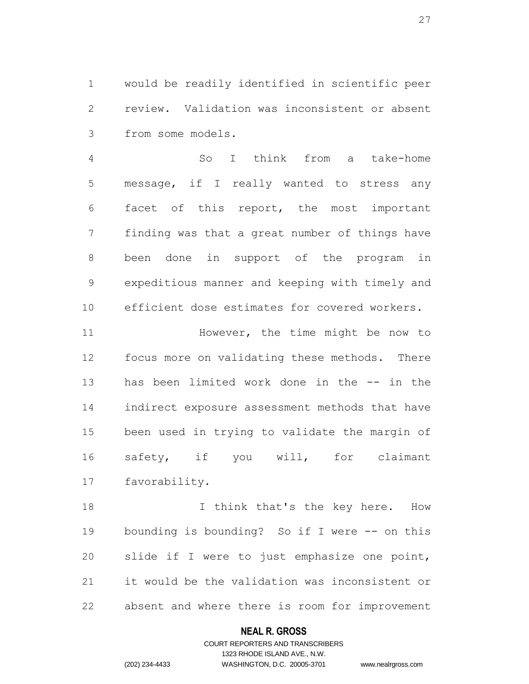would be readily identified in scientific peer review. Validation was inconsistent or absent from some models.

 So I think from a take-home message, if I really wanted to stress any facet of this report, the most important finding was that a great number of things have been done in support of the program in expeditious manner and keeping with timely and efficient dose estimates for covered workers.

11 However, the time might be now to focus more on validating these methods. There has been limited work done in the -- in the indirect exposure assessment methods that have been used in trying to validate the margin of safety, if you will, for claimant favorability.

18 I think that's the key here. How bounding is bounding? So if I were -- on this slide if I were to just emphasize one point, it would be the validation was inconsistent or absent and where there is room for improvement

### **NEAL R. GROSS**

### COURT REPORTERS AND TRANSCRIBERS 1323 RHODE ISLAND AVE., N.W. (202) 234-4433 WASHINGTON, D.C. 20005-3701 www.nealrgross.com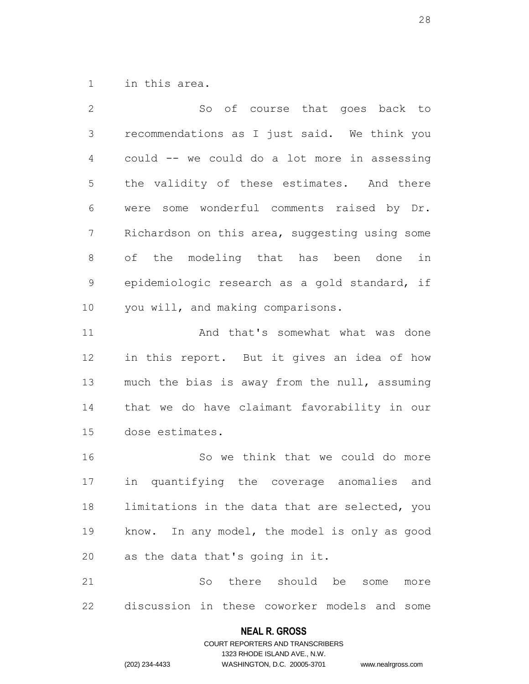in this area.

 So of course that goes back to recommendations as I just said. We think you could -- we could do a lot more in assessing the validity of these estimates. And there were some wonderful comments raised by Dr. Richardson on this area, suggesting using some of the modeling that has been done in epidemiologic research as a gold standard, if you will, and making comparisons. 11 And that's somewhat what was done

 in this report. But it gives an idea of how much the bias is away from the null, assuming that we do have claimant favorability in our dose estimates.

 So we think that we could do more in quantifying the coverage anomalies and limitations in the data that are selected, you know. In any model, the model is only as good as the data that's going in it.

 So there should be some more discussion in these coworker models and some

## **NEAL R. GROSS** COURT REPORTERS AND TRANSCRIBERS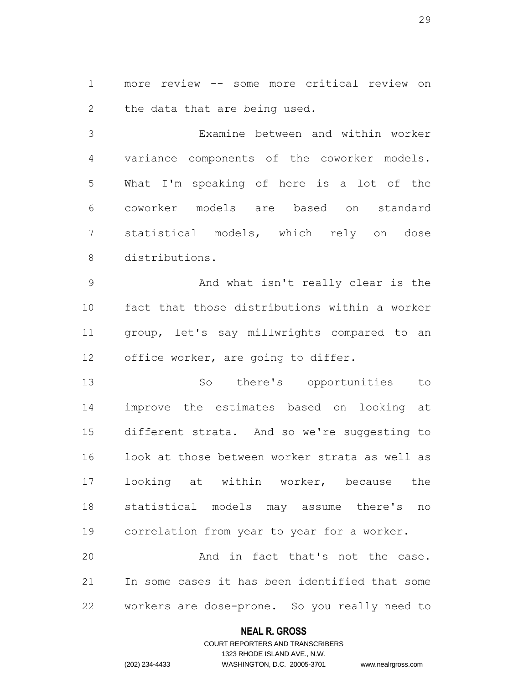more review -- some more critical review on the data that are being used.

 Examine between and within worker variance components of the coworker models. What I'm speaking of here is a lot of the coworker models are based on standard statistical models, which rely on dose distributions.

 And what isn't really clear is the fact that those distributions within a worker group, let's say millwrights compared to an office worker, are going to differ.

 So there's opportunities to improve the estimates based on looking at different strata. And so we're suggesting to look at those between worker strata as well as looking at within worker, because the statistical models may assume there's no correlation from year to year for a worker. 20 And in fact that's not the case.

 In some cases it has been identified that some workers are dose-prone. So you really need to

### **NEAL R. GROSS**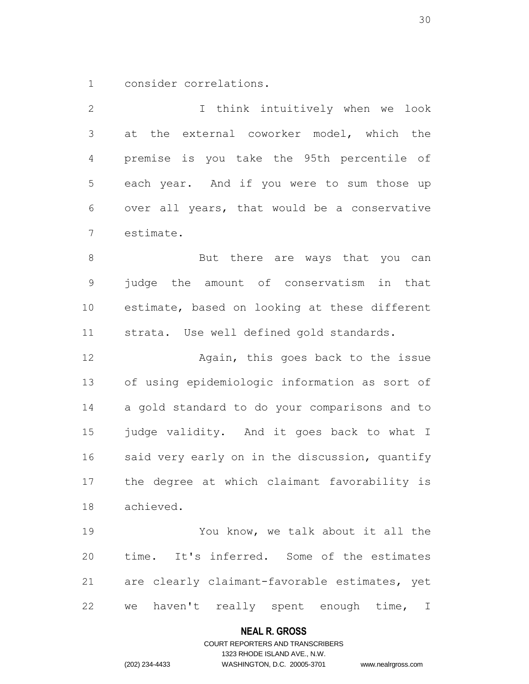consider correlations.

 I think intuitively when we look at the external coworker model, which the premise is you take the 95th percentile of each year. And if you were to sum those up over all years, that would be a conservative estimate. 8 But there are ways that you can judge the amount of conservatism in that estimate, based on looking at these different strata. Use well defined gold standards. **Again, this goes back to the issue**  of using epidemiologic information as sort of a gold standard to do your comparisons and to judge validity. And it goes back to what I said very early on in the discussion, quantify the degree at which claimant favorability is achieved. You know, we talk about it all the time. It's inferred. Some of the estimates

we haven't really spent enough time, I

are clearly claimant-favorable estimates, yet

#### **NEAL R. GROSS**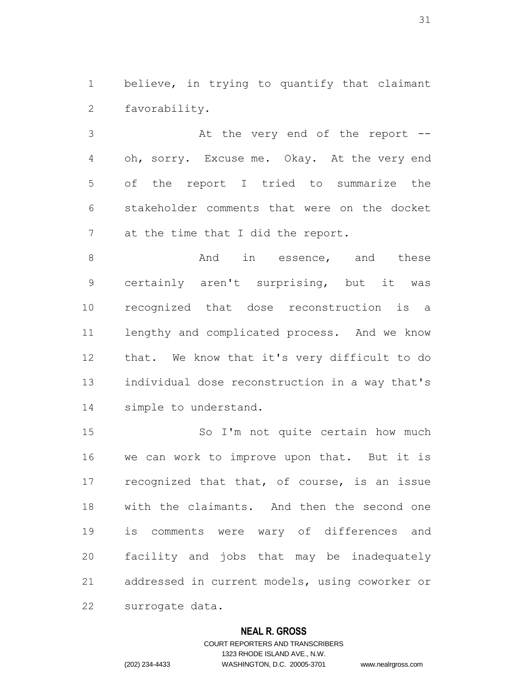believe, in trying to quantify that claimant favorability.

 At the very end of the report -- oh, sorry. Excuse me. Okay. At the very end of the report I tried to summarize the stakeholder comments that were on the docket 7 at the time that I did the report.

8 and these and these and these certainly aren't surprising, but it was recognized that dose reconstruction is a lengthy and complicated process. And we know that. We know that it's very difficult to do individual dose reconstruction in a way that's simple to understand.

 So I'm not quite certain how much we can work to improve upon that. But it is recognized that that, of course, is an issue with the claimants. And then the second one is comments were wary of differences and facility and jobs that may be inadequately addressed in current models, using coworker or surrogate data.

#### **NEAL R. GROSS**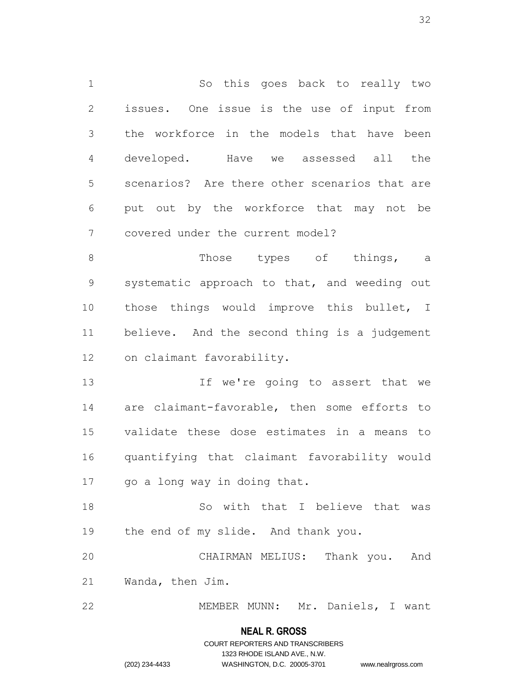So this goes back to really two issues. One issue is the use of input from the workforce in the models that have been developed. Have we assessed all the scenarios? Are there other scenarios that are put out by the workforce that may not be covered under the current model? 8 Those types of things, a systematic approach to that, and weeding out those things would improve this bullet, I believe. And the second thing is a judgement on claimant favorability. 13 13 If we're going to assert that we

 are claimant-favorable, then some efforts to validate these dose estimates in a means to quantifying that claimant favorability would go a long way in doing that.

 So with that I believe that was the end of my slide. And thank you.

 CHAIRMAN MELIUS: Thank you. And Wanda, then Jim.

MEMBER MUNN: Mr. Daniels, I want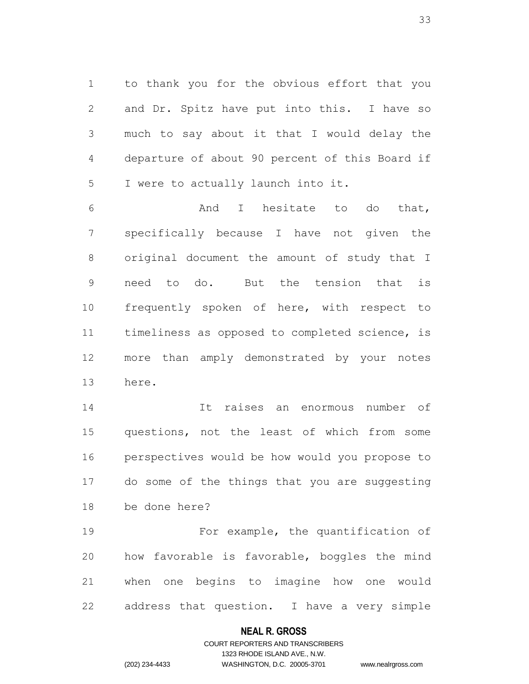to thank you for the obvious effort that you and Dr. Spitz have put into this. I have so much to say about it that I would delay the departure of about 90 percent of this Board if I were to actually launch into it.

 And I hesitate to do that, specifically because I have not given the original document the amount of study that I need to do. But the tension that is frequently spoken of here, with respect to timeliness as opposed to completed science, is more than amply demonstrated by your notes here.

 It raises an enormous number of questions, not the least of which from some perspectives would be how would you propose to do some of the things that you are suggesting be done here?

 For example, the quantification of how favorable is favorable, boggles the mind when one begins to imagine how one would address that question. I have a very simple

### **NEAL R. GROSS**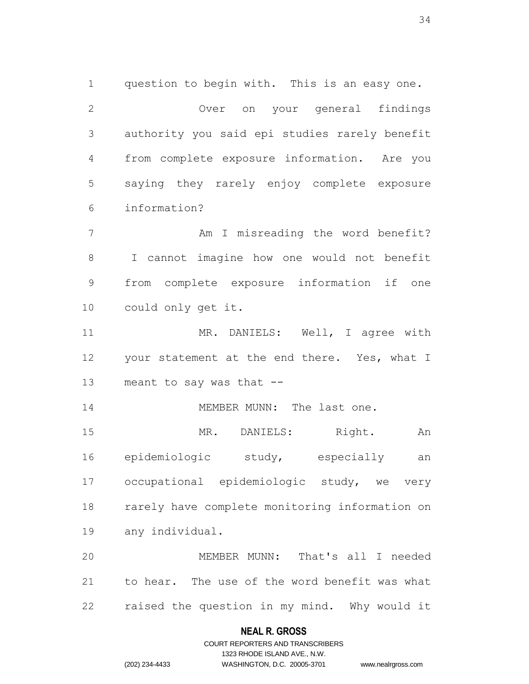question to begin with. This is an easy one. Over on your general findings authority you said epi studies rarely benefit from complete exposure information. Are you saying they rarely enjoy complete exposure information? 7 Am I misreading the word benefit?

 I cannot imagine how one would not benefit from complete exposure information if one could only get it.

11 MR. DANIELS: Well, I agree with your statement at the end there. Yes, what I meant to say was that --

14 MEMBER MUNN: The last one.

 MR. DANIELS: Right. An epidemiologic study, especially an occupational epidemiologic study, we very rarely have complete monitoring information on any individual.

 MEMBER MUNN: That's all I needed to hear. The use of the word benefit was what raised the question in my mind. Why would it

#### **NEAL R. GROSS**

### COURT REPORTERS AND TRANSCRIBERS 1323 RHODE ISLAND AVE., N.W. (202) 234-4433 WASHINGTON, D.C. 20005-3701 www.nealrgross.com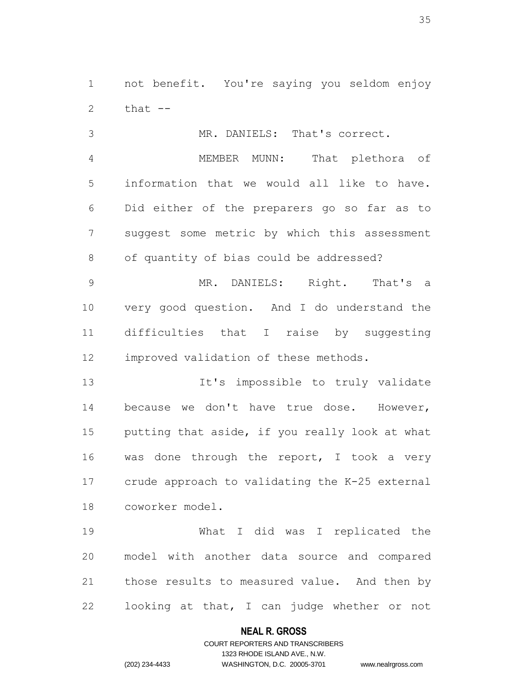not benefit. You're saying you seldom enjoy  $that$   $-$ 

 MR. DANIELS: That's correct. MEMBER MUNN: That plethora of information that we would all like to have. Did either of the preparers go so far as to suggest some metric by which this assessment of quantity of bias could be addressed?

 MR. DANIELS: Right. That's a very good question. And I do understand the difficulties that I raise by suggesting improved validation of these methods.

13 It's impossible to truly validate 14 because we don't have true dose. However, putting that aside, if you really look at what was done through the report, I took a very crude approach to validating the K-25 external coworker model.

 What I did was I replicated the model with another data source and compared those results to measured value. And then by looking at that, I can judge whether or not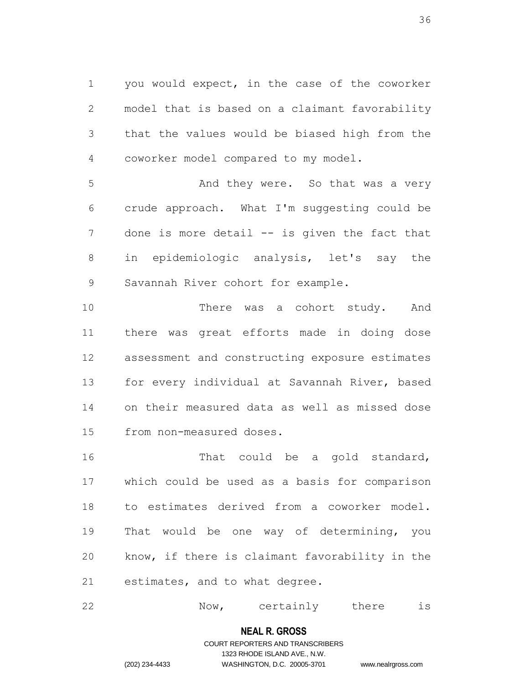you would expect, in the case of the coworker model that is based on a claimant favorability that the values would be biased high from the coworker model compared to my model.

5 And they were. So that was a very crude approach. What I'm suggesting could be 7 done is more detail -- is given the fact that in epidemiologic analysis, let's say the Savannah River cohort for example.

10 There was a cohort study. And there was great efforts made in doing dose assessment and constructing exposure estimates for every individual at Savannah River, based on their measured data as well as missed dose from non-measured doses.

16 That could be a gold standard, which could be used as a basis for comparison to estimates derived from a coworker model. That would be one way of determining, you know, if there is claimant favorability in the estimates, and to what degree.

| 22 | Now. | certainly | there |  |
|----|------|-----------|-------|--|
|----|------|-----------|-------|--|

### **NEAL R. GROSS**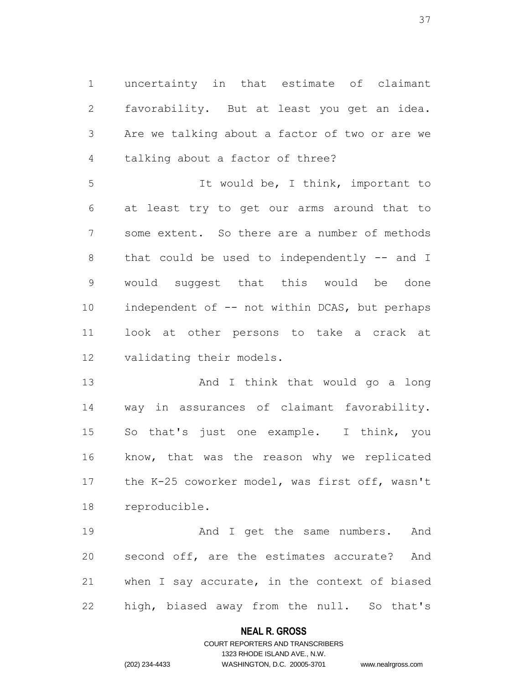uncertainty in that estimate of claimant favorability. But at least you get an idea. Are we talking about a factor of two or are we talking about a factor of three?

5 It would be, I think, important to at least try to get our arms around that to some extent. So there are a number of methods 8 that could be used to independently -- and I would suggest that this would be done 10 independent of -- not within DCAS, but perhaps look at other persons to take a crack at validating their models.

13 And I think that would go a long way in assurances of claimant favorability. So that's just one example. I think, you know, that was the reason why we replicated the K-25 coworker model, was first off, wasn't reproducible.

19 And I get the same numbers. And second off, are the estimates accurate? And when I say accurate, in the context of biased high, biased away from the null. So that's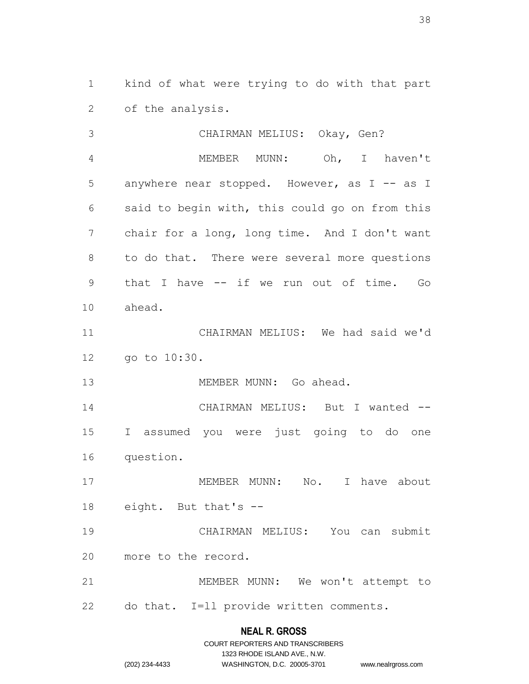kind of what were trying to do with that part of the analysis.

 CHAIRMAN MELIUS: Okay, Gen? MEMBER MUNN: Oh, I haven't 5 anywhere near stopped. However, as I -- as I said to begin with, this could go on from this chair for a long, long time. And I don't want to do that. There were several more questions that I have -- if we run out of time. Go ahead. CHAIRMAN MELIUS: We had said we'd go to 10:30. MEMBER MUNN: Go ahead. CHAIRMAN MELIUS: But I wanted -- I assumed you were just going to do one question. 17 MEMBER MUNN: No. I have about eight. But that's -- CHAIRMAN MELIUS: You can submit more to the record. MEMBER MUNN: We won't attempt to do that. I=ll provide written comments.

|                | COURT REPORTERS AND TRANSCRIBERS |                    |
|----------------|----------------------------------|--------------------|
|                | 1323 RHODE ISLAND AVE N.W.       |                    |
| (202) 234-4433 | WASHINGTON, D.C. 20005-3701      | www.nealrgross.com |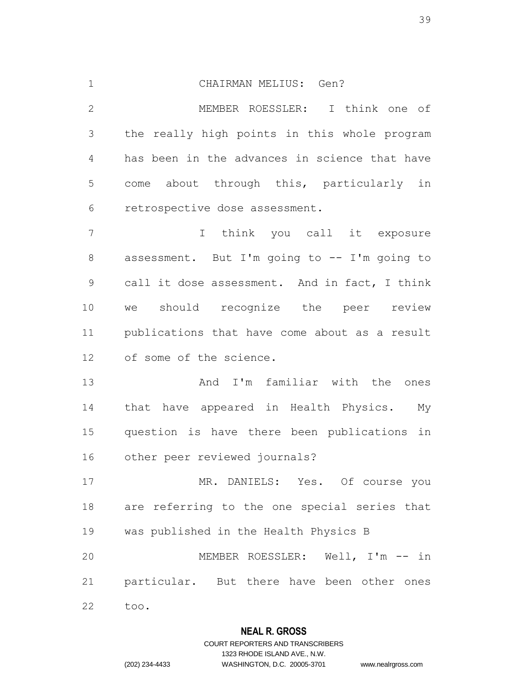CHAIRMAN MELIUS: Gen? MEMBER ROESSLER: I think one of the really high points in this whole program has been in the advances in science that have come about through this, particularly in retrospective dose assessment. I think you call it exposure assessment. But I'm going to -- I'm going to call it dose assessment. And in fact, I think we should recognize the peer review publications that have come about as a result of some of the science. And I'm familiar with the ones that have appeared in Health Physics. My question is have there been publications in other peer reviewed journals? MR. DANIELS: Yes. Of course you are referring to the one special series that was published in the Health Physics B MEMBER ROESSLER: Well, I'm -- in particular. But there have been other ones too.

### **NEAL R. GROSS**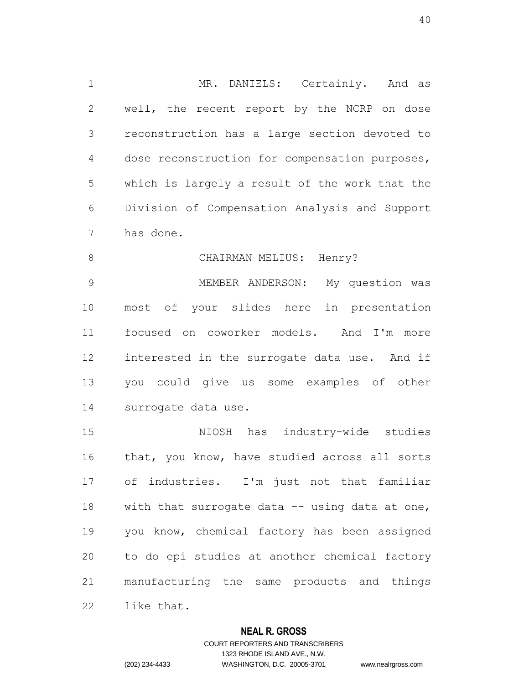1 MR. DANIELS: Certainly. And as well, the recent report by the NCRP on dose reconstruction has a large section devoted to dose reconstruction for compensation purposes, which is largely a result of the work that the Division of Compensation Analysis and Support has done.

8 CHAIRMAN MELIUS: Henry? MEMBER ANDERSON: My question was most of your slides here in presentation focused on coworker models. And I'm more interested in the surrogate data use. And if you could give us some examples of other surrogate data use.

 NIOSH has industry-wide studies that, you know, have studied across all sorts of industries. I'm just not that familiar 18 with that surrogate data -- using data at one, you know, chemical factory has been assigned to do epi studies at another chemical factory manufacturing the same products and things like that.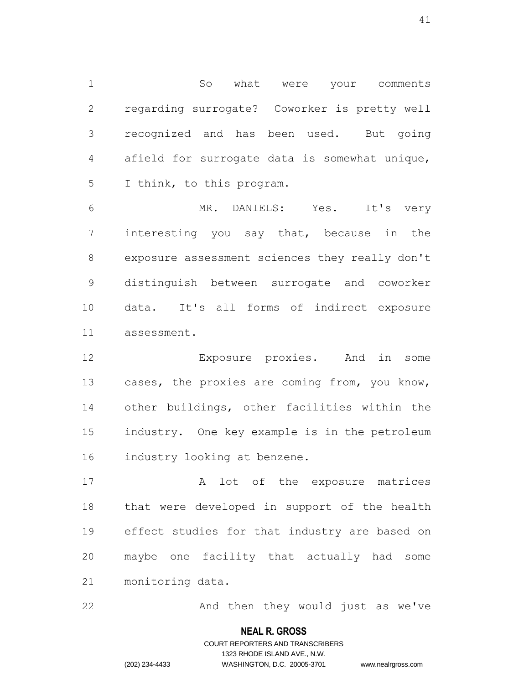So what were your comments regarding surrogate? Coworker is pretty well recognized and has been used. But going afield for surrogate data is somewhat unique, I think, to this program.

 MR. DANIELS: Yes. It's very interesting you say that, because in the exposure assessment sciences they really don't distinguish between surrogate and coworker data. It's all forms of indirect exposure assessment.

 Exposure proxies. And in some cases, the proxies are coming from, you know, other buildings, other facilities within the industry. One key example is in the petroleum industry looking at benzene.

 A lot of the exposure matrices that were developed in support of the health effect studies for that industry are based on maybe one facility that actually had some monitoring data.

22 And then they would just as we've

#### **NEAL R. GROSS**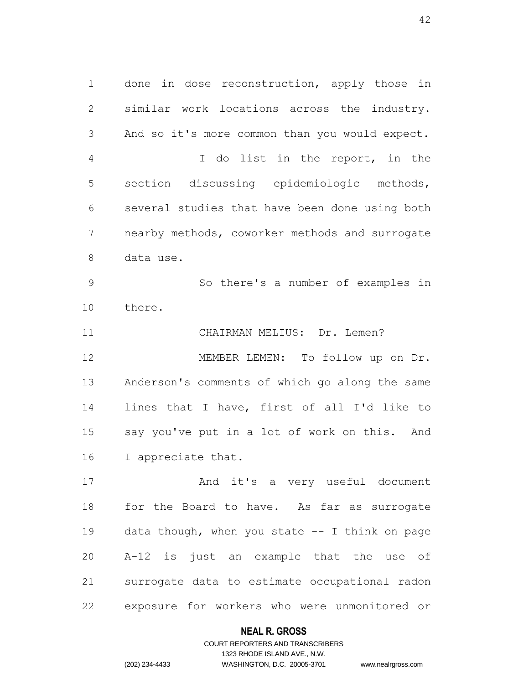done in dose reconstruction, apply those in similar work locations across the industry. And so it's more common than you would expect. I do list in the report, in the section discussing epidemiologic methods, several studies that have been done using both nearby methods, coworker methods and surrogate data use. So there's a number of examples in there. CHAIRMAN MELIUS: Dr. Lemen? MEMBER LEMEN: To follow up on Dr.

 Anderson's comments of which go along the same lines that I have, first of all I'd like to say you've put in a lot of work on this. And I appreciate that.

 And it's a very useful document for the Board to have. As far as surrogate data though, when you state -- I think on page A-12 is just an example that the use of surrogate data to estimate occupational radon exposure for workers who were unmonitored or

## **NEAL R. GROSS**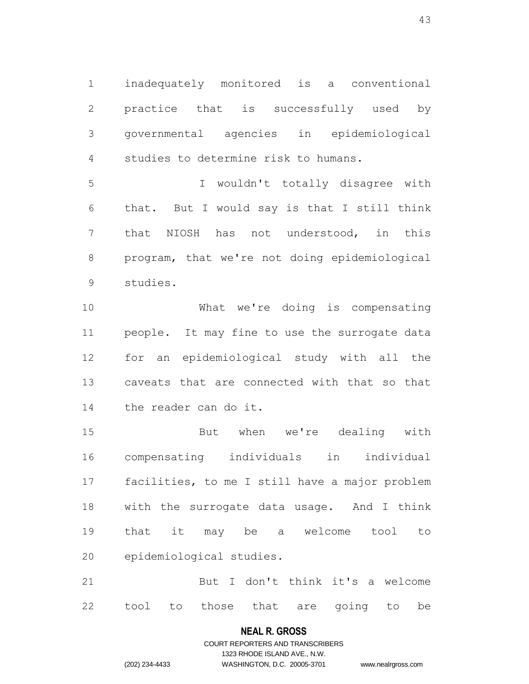inadequately monitored is a conventional practice that is successfully used by governmental agencies in epidemiological studies to determine risk to humans.

 I wouldn't totally disagree with that. But I would say is that I still think that NIOSH has not understood, in this program, that we're not doing epidemiological studies.

 What we're doing is compensating people. It may fine to use the surrogate data for an epidemiological study with all the caveats that are connected with that so that the reader can do it.

 But when we're dealing with compensating individuals in individual facilities, to me I still have a major problem with the surrogate data usage. And I think that it may be a welcome tool to epidemiological studies.

 But I don't think it's a welcome tool to those that are going to be

# **NEAL R. GROSS** COURT REPORTERS AND TRANSCRIBERS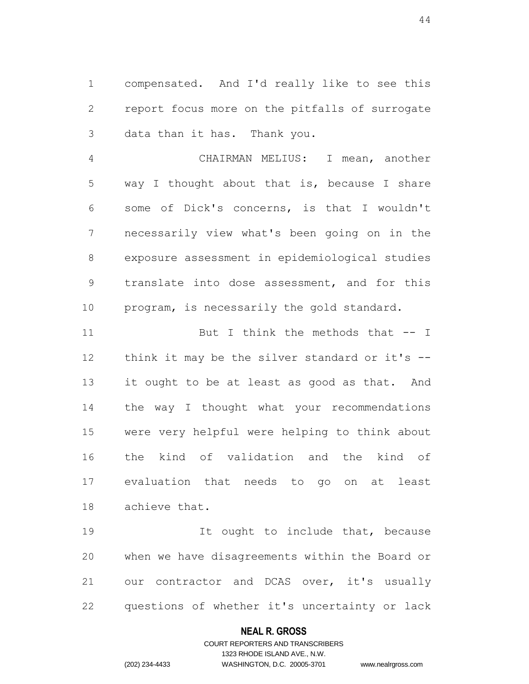compensated. And I'd really like to see this report focus more on the pitfalls of surrogate data than it has. Thank you.

 CHAIRMAN MELIUS: I mean, another way I thought about that is, because I share some of Dick's concerns, is that I wouldn't necessarily view what's been going on in the exposure assessment in epidemiological studies translate into dose assessment, and for this program, is necessarily the gold standard.

11 But I think the methods that -- I 12 think it may be the silver standard or it's -- it ought to be at least as good as that. And the way I thought what your recommendations were very helpful were helping to think about the kind of validation and the kind of evaluation that needs to go on at least achieve that.

19 19 It ought to include that, because when we have disagreements within the Board or our contractor and DCAS over, it's usually questions of whether it's uncertainty or lack

### **NEAL R. GROSS**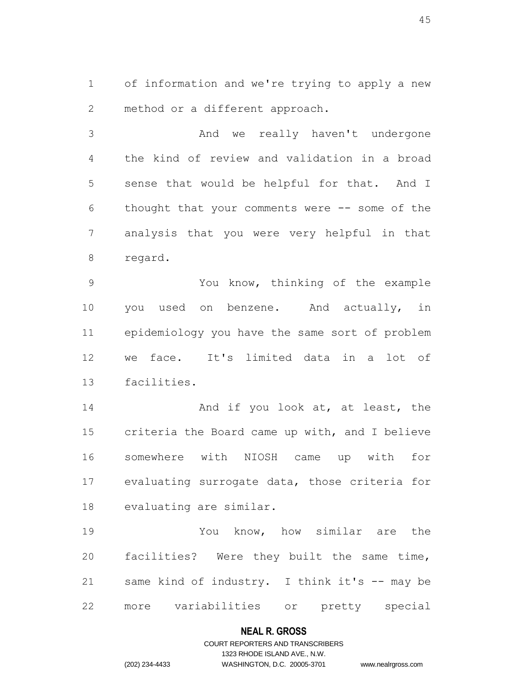of information and we're trying to apply a new method or a different approach.

 And we really haven't undergone the kind of review and validation in a broad sense that would be helpful for that. And I thought that your comments were -- some of the analysis that you were very helpful in that regard.

 You know, thinking of the example you used on benzene. And actually, in epidemiology you have the same sort of problem we face. It's limited data in a lot of facilities.

14 And if you look at, at least, the criteria the Board came up with, and I believe somewhere with NIOSH came up with for evaluating surrogate data, those criteria for evaluating are similar.

 You know, how similar are the facilities? Were they built the same time, same kind of industry. I think it's -- may be more variabilities or pretty special

#### **NEAL R. GROSS**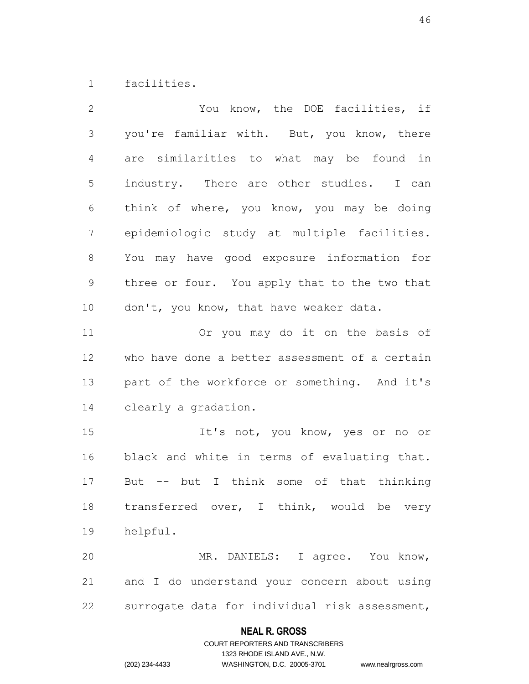facilities.

| $\overline{2}$  | You know, the DOE facilities, if               |
|-----------------|------------------------------------------------|
| 3               | you're familiar with. But, you know, there     |
| 4               | are similarities to what may be found in       |
| 5               | industry. There are other studies. I can       |
| 6               | think of where, you know, you may be doing     |
| $7\phantom{.0}$ | epidemiologic study at multiple facilities.    |
| 8               | You may have good exposure information for     |
| $\mathsf 9$     | three or four. You apply that to the two that  |
| 10              | don't, you know, that have weaker data.        |
| 11              | Or you may do it on the basis of               |
| 12              | who have done a better assessment of a certain |
| 13              | part of the workforce or something. And it's   |
| 14              | clearly a gradation.                           |
| 15              | It's not, you know, yes or no or               |
| 16              | black and white in terms of evaluating that.   |
| 17              | But -- but I think some of that thinking       |
| 18              | transferred over, I think, would be very       |
| 19              | helpful.                                       |
| 20              | MR. DANIELS: I agree. You know,                |
| 21              | and I do understand your concern about using   |
| 22              | surrogate data for individual risk assessment, |

# **NEAL R. GROSS**

# COURT REPORTERS AND TRANSCRIBERS 1323 RHODE ISLAND AVE., N.W. (202) 234-4433 WASHINGTON, D.C. 20005-3701 www.nealrgross.com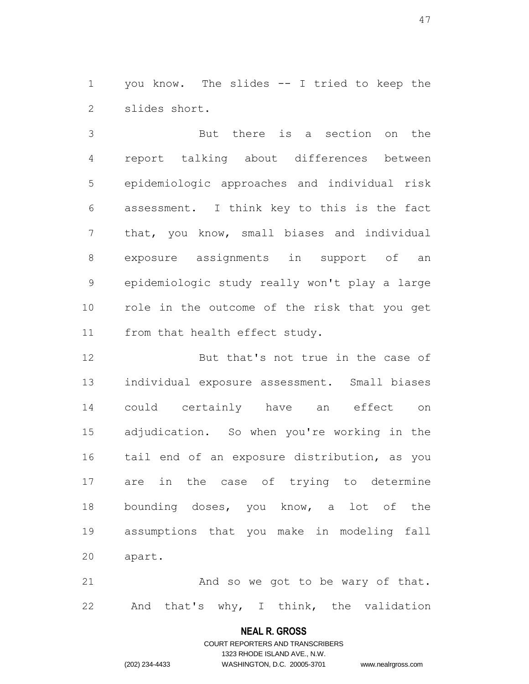1 you know. The slides -- I tried to keep the slides short.

 But there is a section on the report talking about differences between epidemiologic approaches and individual risk assessment. I think key to this is the fact that, you know, small biases and individual exposure assignments in support of an epidemiologic study really won't play a large role in the outcome of the risk that you get from that health effect study.

 But that's not true in the case of individual exposure assessment. Small biases could certainly have an effect on adjudication. So when you're working in the tail end of an exposure distribution, as you are in the case of trying to determine bounding doses, you know, a lot of the assumptions that you make in modeling fall apart.

21 And so we got to be wary of that. And that's why, I think, the validation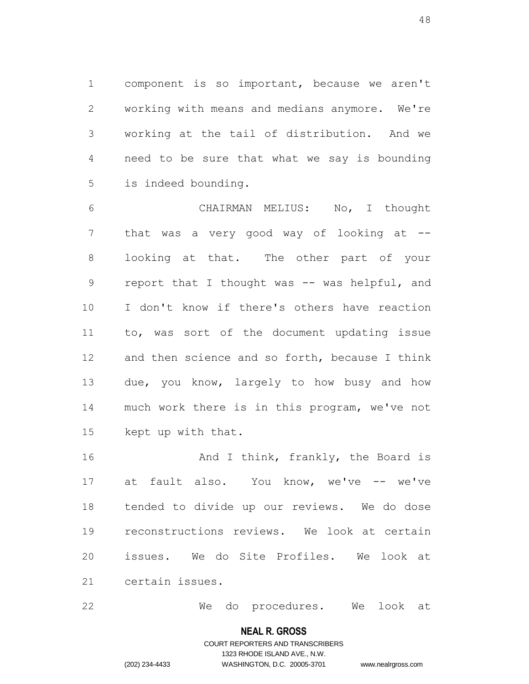component is so important, because we aren't working with means and medians anymore. We're working at the tail of distribution. And we need to be sure that what we say is bounding is indeed bounding.

 CHAIRMAN MELIUS: No, I thought 7 that was a very good way of looking at -- looking at that. The other part of your 9 report that I thought was -- was helpful, and I don't know if there's others have reaction to, was sort of the document updating issue and then science and so forth, because I think due, you know, largely to how busy and how much work there is in this program, we've not kept up with that.

16 And I think, frankly, the Board is 17 at fault also. You know, we've -- we've tended to divide up our reviews. We do dose reconstructions reviews. We look at certain issues. We do Site Profiles. We look at certain issues.

We do procedures. We look at

#### **NEAL R. GROSS**

### COURT REPORTERS AND TRANSCRIBERS 1323 RHODE ISLAND AVE., N.W. (202) 234-4433 WASHINGTON, D.C. 20005-3701 www.nealrgross.com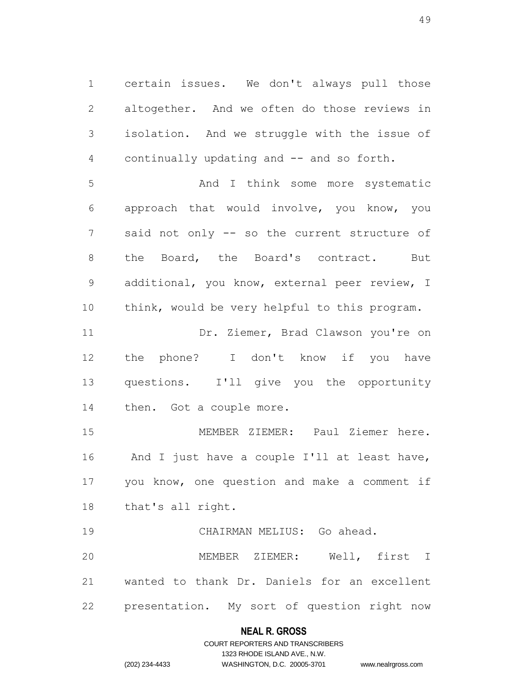certain issues. We don't always pull those altogether. And we often do those reviews in isolation. And we struggle with the issue of continually updating and -- and so forth.

 And I think some more systematic approach that would involve, you know, you said not only -- so the current structure of the Board, the Board's contract. But additional, you know, external peer review, I think, would be very helpful to this program.

11 Dr. Ziemer, Brad Clawson you're on the phone? I don't know if you have questions. I'll give you the opportunity then. Got a couple more.

 MEMBER ZIEMER: Paul Ziemer here. And I just have a couple I'll at least have, you know, one question and make a comment if that's all right.

 CHAIRMAN MELIUS: Go ahead. MEMBER ZIEMER: Well, first I wanted to thank Dr. Daniels for an excellent presentation. My sort of question right now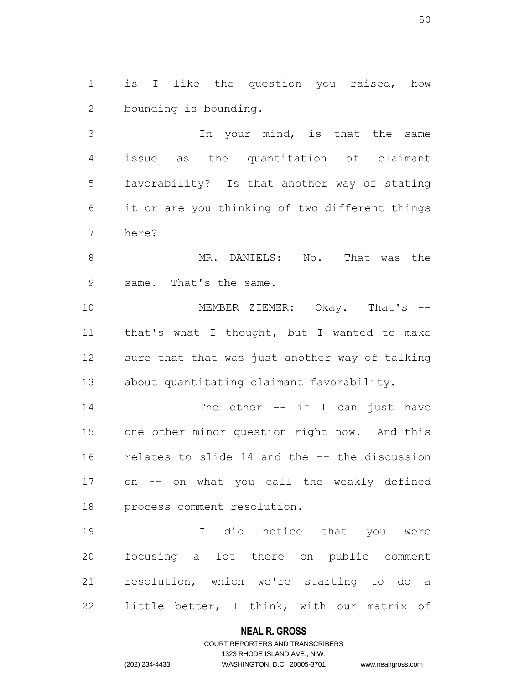is I like the question you raised, how bounding is bounding.

 In your mind, is that the same issue as the quantitation of claimant favorability? Is that another way of stating it or are you thinking of two different things here?

8 MR. DANIELS: No. That was the same. That's the same.

10 MEMBER ZIEMER: Okay. That's -- that's what I thought, but I wanted to make sure that that was just another way of talking about quantitating claimant favorability.

14 The other -- if I can just have one other minor question right now. And this relates to slide 14 and the -- the discussion on -- on what you call the weakly defined process comment resolution.

 I did notice that you were focusing a lot there on public comment resolution, which we're starting to do a little better, I think, with our matrix of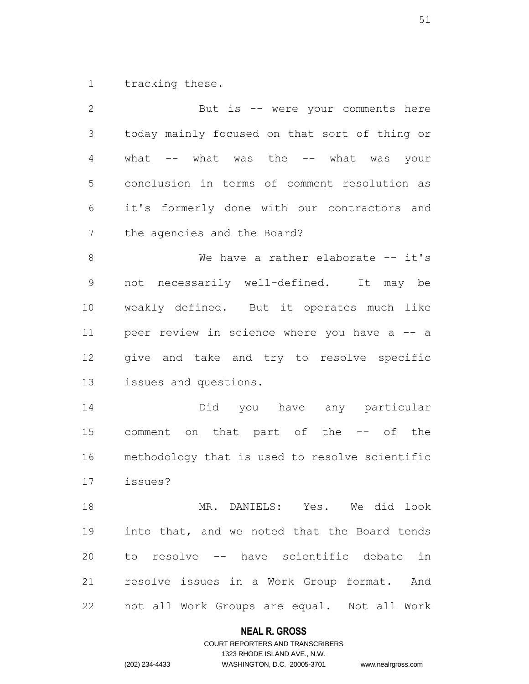tracking these.

 But is -- were your comments here today mainly focused on that sort of thing or 4 what -- what was the -- what was your conclusion in terms of comment resolution as it's formerly done with our contractors and the agencies and the Board? 8 We have a rather elaborate -- it's not necessarily well-defined. It may be weakly defined. But it operates much like peer review in science where you have a -- a give and take and try to resolve specific issues and questions. Did you have any particular comment on that part of the -- of the methodology that is used to resolve scientific issues? MR. DANIELS: Yes. We did look into that, and we noted that the Board tends to resolve -- have scientific debate in resolve issues in a Work Group format. And not all Work Groups are equal. Not all Work

#### **NEAL R. GROSS**

# COURT REPORTERS AND TRANSCRIBERS 1323 RHODE ISLAND AVE., N.W. (202) 234-4433 WASHINGTON, D.C. 20005-3701 www.nealrgross.com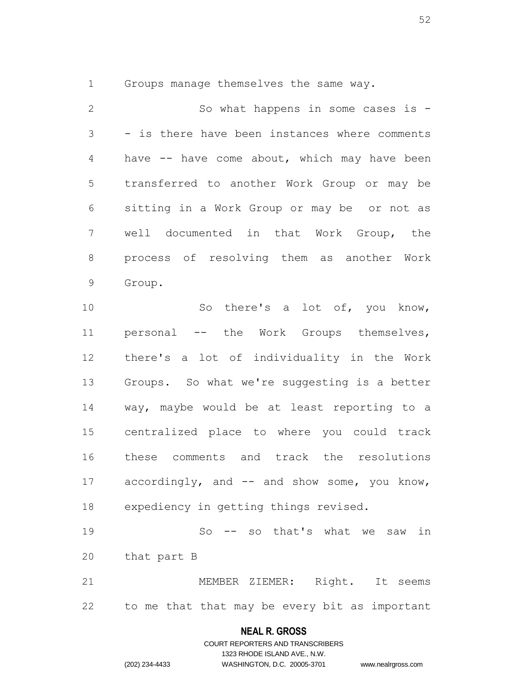Groups manage themselves the same way.

 So what happens in some cases is - - is there have been instances where comments have -- have come about, which may have been transferred to another Work Group or may be sitting in a Work Group or may be or not as well documented in that Work Group, the process of resolving them as another Work Group. So there's a lot of, you know, 11 personal -- the Work Groups themselves, there's a lot of individuality in the Work Groups. So what we're suggesting is a better way, maybe would be at least reporting to a centralized place to where you could track

 accordingly, and -- and show some, you know, expediency in getting things revised.

these comments and track the resolutions

 So -- so that's what we saw in that part B MEMBER ZIEMER: Right. It seems

to me that that may be every bit as important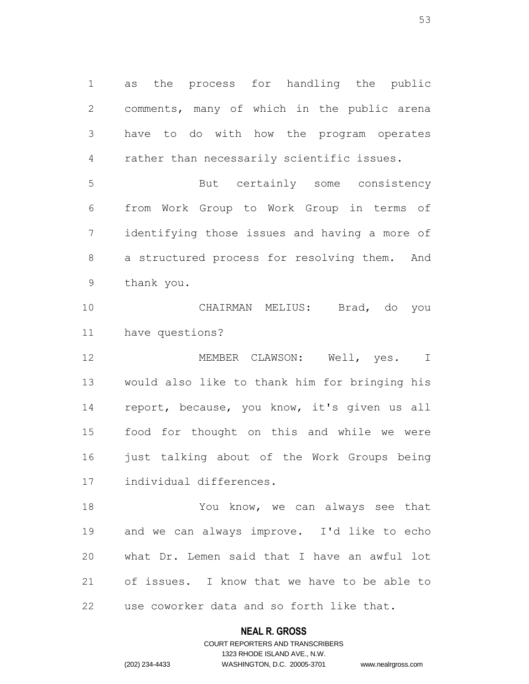as the process for handling the public comments, many of which in the public arena have to do with how the program operates rather than necessarily scientific issues.

 But certainly some consistency from Work Group to Work Group in terms of identifying those issues and having a more of a structured process for resolving them. And thank you.

 CHAIRMAN MELIUS: Brad, do you have questions?

 MEMBER CLAWSON: Well, yes. I would also like to thank him for bringing his report, because, you know, it's given us all food for thought on this and while we were just talking about of the Work Groups being individual differences.

 You know, we can always see that and we can always improve. I'd like to echo what Dr. Lemen said that I have an awful lot of issues. I know that we have to be able to use coworker data and so forth like that.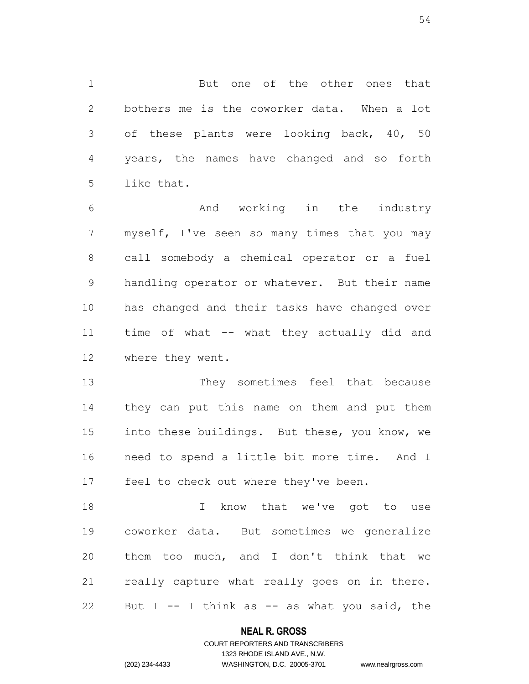But one of the other ones that bothers me is the coworker data. When a lot of these plants were looking back, 40, 50 years, the names have changed and so forth like that.

 And working in the industry myself, I've seen so many times that you may call somebody a chemical operator or a fuel handling operator or whatever. But their name has changed and their tasks have changed over time of what -- what they actually did and where they went.

 They sometimes feel that because they can put this name on them and put them into these buildings. But these, you know, we need to spend a little bit more time. And I feel to check out where they've been.

18 I know that we've got to use coworker data. But sometimes we generalize them too much, and I don't think that we really capture what really goes on in there. 22 But I  $-$  I think as  $-$  as what you said, the

### **NEAL R. GROSS**

### COURT REPORTERS AND TRANSCRIBERS 1323 RHODE ISLAND AVE., N.W. (202) 234-4433 WASHINGTON, D.C. 20005-3701 www.nealrgross.com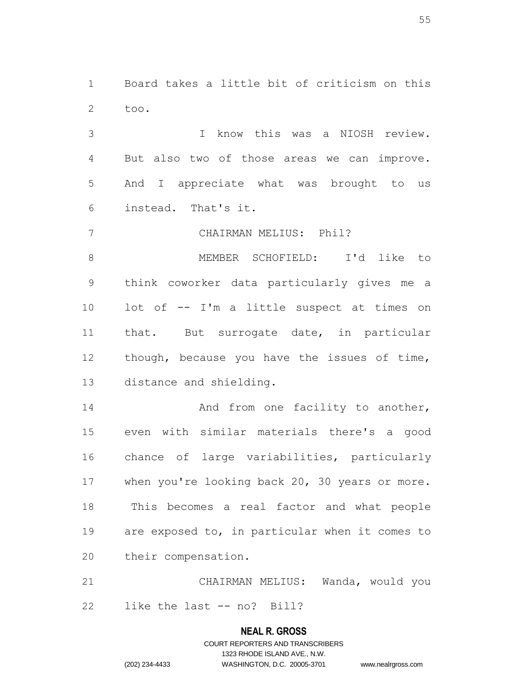Board takes a little bit of criticism on this too.

 I know this was a NIOSH review. But also two of those areas we can improve. And I appreciate what was brought to us instead. That's it.

CHAIRMAN MELIUS: Phil?

 MEMBER SCHOFIELD: I'd like to think coworker data particularly gives me a lot of -- I'm a little suspect at times on that. But surrogate date, in particular though, because you have the issues of time, distance and shielding.

14 And from one facility to another, even with similar materials there's a good chance of large variabilities, particularly 17 when you're looking back 20, 30 years or more. This becomes a real factor and what people are exposed to, in particular when it comes to their compensation.

 CHAIRMAN MELIUS: Wanda, would you like the last -- no? Bill?

#### **NEAL R. GROSS**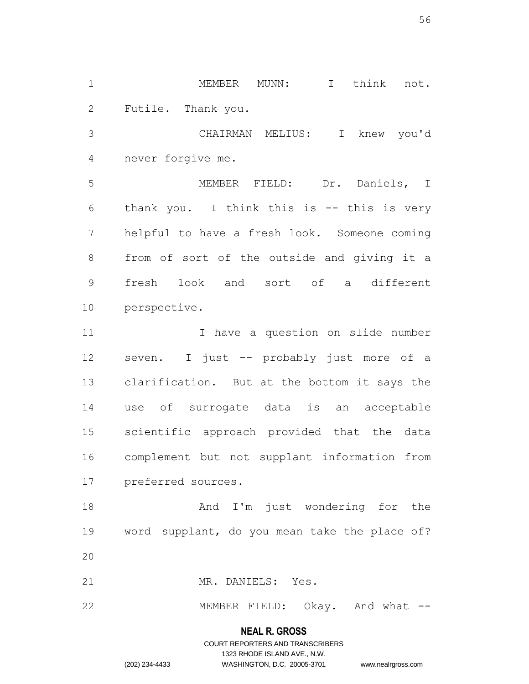MEMBER MUNN: I think not. Futile. Thank you.

 CHAIRMAN MELIUS: I knew you'd never forgive me.

 MEMBER FIELD: Dr. Daniels, I thank you. I think this is -- this is very helpful to have a fresh look. Someone coming from of sort of the outside and giving it a fresh look and sort of a different perspective.

11 11 I have a question on slide number seven. I just -- probably just more of a clarification. But at the bottom it says the use of surrogate data is an acceptable scientific approach provided that the data complement but not supplant information from preferred sources.

18 And I'm just wondering for the word supplant, do you mean take the place of? 

MR. DANIELS: Yes.

22 MEMBER FIELD: Okay. And what --

### **NEAL R. GROSS**

COURT REPORTERS AND TRANSCRIBERS 1323 RHODE ISLAND AVE., N.W. (202) 234-4433 WASHINGTON, D.C. 20005-3701 www.nealrgross.com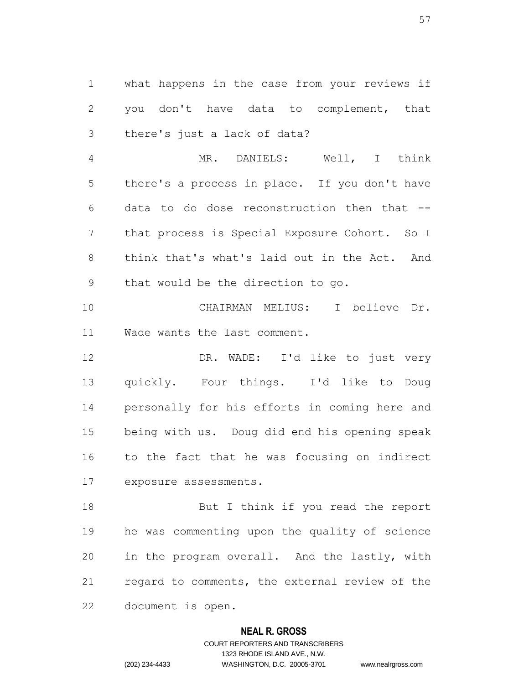what happens in the case from your reviews if you don't have data to complement, that there's just a lack of data?

 MR. DANIELS: Well, I think there's a process in place. If you don't have data to do dose reconstruction then that -- that process is Special Exposure Cohort. So I think that's what's laid out in the Act. And that would be the direction to go.

 CHAIRMAN MELIUS: I believe Dr. Wade wants the last comment.

 DR. WADE: I'd like to just very quickly. Four things. I'd like to Doug personally for his efforts in coming here and being with us. Doug did end his opening speak to the fact that he was focusing on indirect exposure assessments.

18 But I think if you read the report he was commenting upon the quality of science in the program overall. And the lastly, with regard to comments, the external review of the document is open.

#### **NEAL R. GROSS**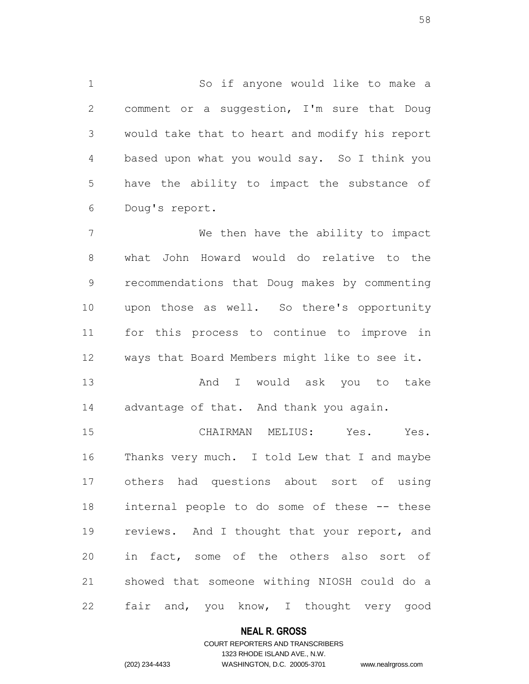So if anyone would like to make a comment or a suggestion, I'm sure that Doug would take that to heart and modify his report based upon what you would say. So I think you have the ability to impact the substance of Doug's report.

 We then have the ability to impact what John Howard would do relative to the recommendations that Doug makes by commenting upon those as well. So there's opportunity for this process to continue to improve in ways that Board Members might like to see it.

13 And I would ask you to take 14 advantage of that. And thank you again.

 CHAIRMAN MELIUS: Yes. Yes. Thanks very much. I told Lew that I and maybe others had questions about sort of using internal people to do some of these -- these 19 reviews. And I thought that your report, and in fact, some of the others also sort of showed that someone withing NIOSH could do a 22 fair and, you know, I thought very good

#### **NEAL R. GROSS**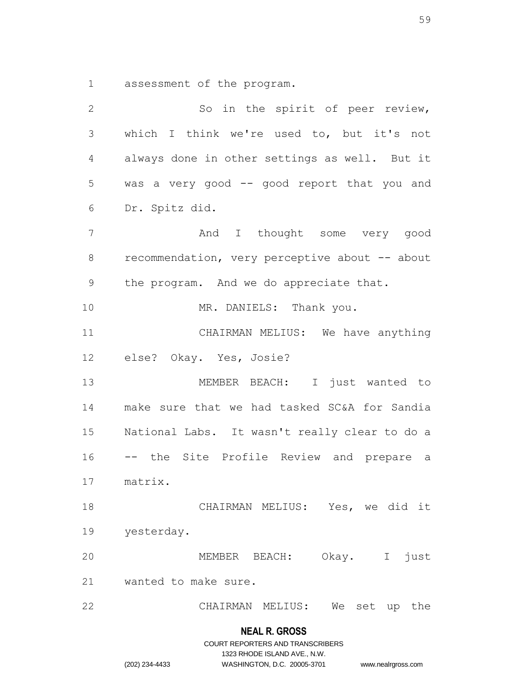assessment of the program.

| $\mathbf{2}$    | So in the spirit of peer review,               |
|-----------------|------------------------------------------------|
| $\mathfrak{Z}$  | which I think we're used to, but it's not      |
| 4               | always done in other settings as well. But it  |
| 5               | was a very good -- good report that you and    |
| 6               | Dr. Spitz did.                                 |
| $7\phantom{.0}$ | And I thought some very good                   |
| $8\,$           | recommendation, very perceptive about -- about |
| $\mathsf 9$     | the program. And we do appreciate that.        |
| 10              | MR. DANIELS: Thank you.                        |
| 11              | CHAIRMAN MELIUS: We have anything              |
| 12              | else? Okay. Yes, Josie?                        |
| 13              | MEMBER BEACH: I just wanted to                 |
| 14              | make sure that we had tasked SC&A for Sandia   |
| 15              | National Labs. It wasn't really clear to do a  |
| 16              | -- the Site Profile Review and prepare a       |
| 17              | matrix.                                        |
| 18              | CHAIRMAN MELIUS: Yes, we did it                |
| 19              | yesterday.                                     |
| 20              | Okay. I<br>just<br>MEMBER BEACH:               |
| 21              | wanted to make sure.                           |
| 22              | CHAIRMAN MELIUS:<br>We<br>set<br>up the        |

**NEAL R. GROSS**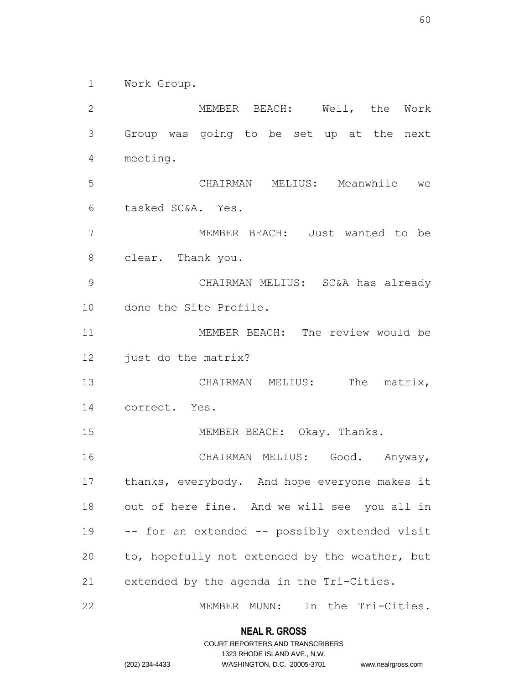Work Group.

 MEMBER BEACH: Well, the Work Group was going to be set up at the next meeting. CHAIRMAN MELIUS: Meanwhile we tasked SC&A. Yes. MEMBER BEACH: Just wanted to be clear. Thank you. CHAIRMAN MELIUS: SC&A has already done the Site Profile. MEMBER BEACH: The review would be just do the matrix? 13 CHAIRMAN MELIUS: The matrix, correct. Yes. 15 MEMBER BEACH: Okay. Thanks. CHAIRMAN MELIUS: Good. Anyway, thanks, everybody. And hope everyone makes it out of here fine. And we will see you all in -- for an extended -- possibly extended visit to, hopefully not extended by the weather, but extended by the agenda in the Tri-Cities. MEMBER MUNN: In the Tri-Cities.

> **NEAL R. GROSS** COURT REPORTERS AND TRANSCRIBERS

> > 1323 RHODE ISLAND AVE., N.W.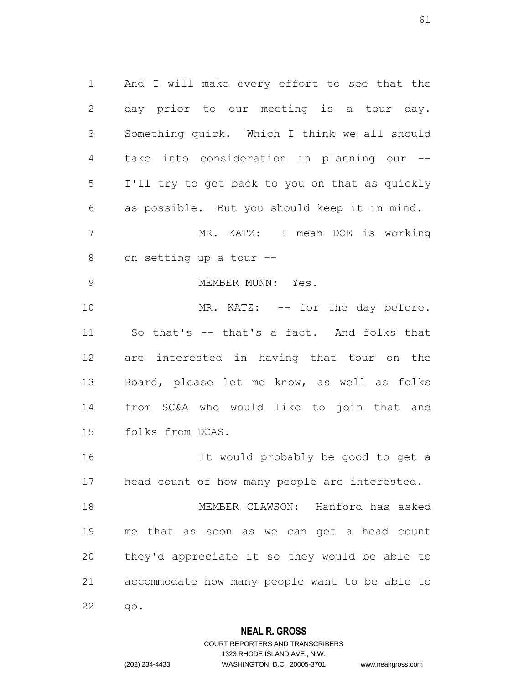And I will make every effort to see that the day prior to our meeting is a tour day. Something quick. Which I think we all should take into consideration in planning our -- I'll try to get back to you on that as quickly as possible. But you should keep it in mind. MR. KATZ: I mean DOE is working on setting up a tour -- 9 MEMBER MUNN: Yes. 10 MR. KATZ: -- for the day before. So that's -- that's a fact. And folks that are interested in having that tour on the Board, please let me know, as well as folks from SC&A who would like to join that and folks from DCAS. It would probably be good to get a head count of how many people are interested. MEMBER CLAWSON: Hanford has asked me that as soon as we can get a head count they'd appreciate it so they would be able to accommodate how many people want to be able to go.

### **NEAL R. GROSS**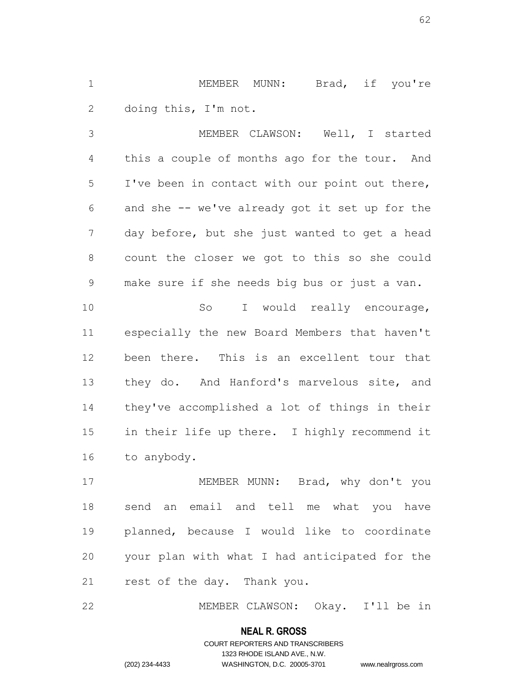MEMBER MUNN: Brad, if you're doing this, I'm not.

 MEMBER CLAWSON: Well, I started this a couple of months ago for the tour. And I've been in contact with our point out there, and she -- we've already got it set up for the day before, but she just wanted to get a head count the closer we got to this so she could make sure if she needs big bus or just a van. 10 So I would really encourage, especially the new Board Members that haven't been there. This is an excellent tour that 13 they do. And Hanford's marvelous site, and they've accomplished a lot of things in their in their life up there. I highly recommend it to anybody.

17 MEMBER MUNN: Brad, why don't you send an email and tell me what you have planned, because I would like to coordinate your plan with what I had anticipated for the rest of the day. Thank you.

MEMBER CLAWSON: Okay. I'll be in

### **NEAL R. GROSS**